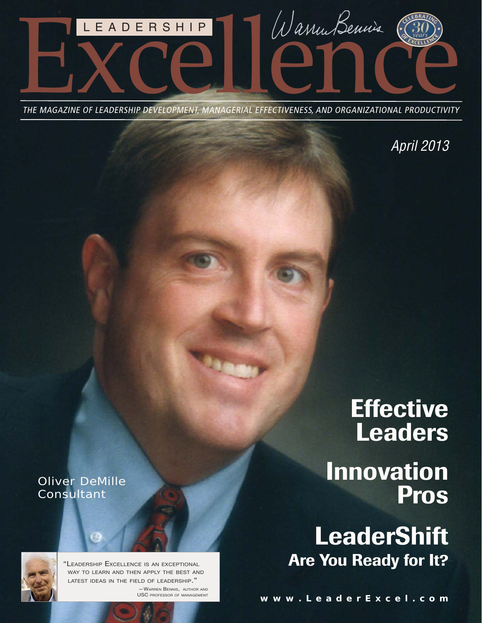

THE MAGAZINE OF LEADERSHIP DEVELOPMENT, MANAGERIAL EFFECTIVENESS, AND ORGANIZATIONAL PRODUCTIVITY

*April 2013*

## Oliver DeMille **Consultant**



"LEADERSHIP EXCELLENCE IS AN EXCEPTIONAL WAY TO LEARN AND THEN APPLY THE BEST AND LATEST IDEAS IN THE FIELD OF LEADERSHIP." —WARREN BENNIS, AUTHOR AND USC PROFESSOR OF MANAGEMENT

# **Effective Leaders Innovation Pros**

# **LeaderShift Are You Ready for It?**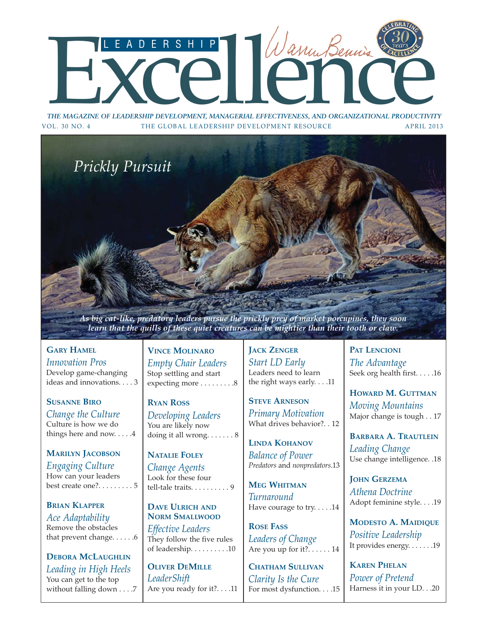# THE MAGAZINE OF LEADERSHIP DEVELOPMENT, MANAGERIAL EFFECTIVENESS, AND ORGANIZATIONAL PRODUCTIVITY

*THE MAGAZINE OF LEADERSHIP DEVELOPMENT, MANAGERIAL EFFECTIVENESS, AND ORGANIZATIONAL PRODUCTIVITY* VOL. 30 NO. 4 THE GLOBAL LEADERSHIP DEVELOPMENT RESOURCE APRIL 2013



*As big cat-like, predatory leaders pursue the prickly prey of market porcupines, they soon learn that the quills of these quiet creatures can be mightier than their tooth or claw.*

**GARY HAMEL** *Innovation Pros* Develop game-changing [ideas and innovations. . . . 3](#page-3-0)

**SUSANNE BIRO** *[Change the Culture](#page-4-0)* Culture is how we do things here and now. . . . .4

**MARILYN JACOBSON** *Engaging Culture* How can your leaders [best create one?. . . . . . . . . 5](#page-5-0)

**BRIAN KLAPPER** *Ace Adaptability* Remove the obstacles [that prevent change. . . . . .6](#page-6-0)

**DEBORA MCLAUGHLIN** *[Leading in High Heels](#page-7-0)* You can get to the top without falling down . . . .7

**VINCE MOLINARO** *[Empty Chair Leaders](#page-8-0)* Stop settling and start expecting more . . . . . . . . . 8

**RYAN ROSS** *Developing Leaders* You are likely now doing it all wrong.  $\dots \dots 8$ 

**NATALIE FOLEY** *Change Agents* Look for these four [tell-tale traits. . . . . . . . . . 9](#page-9-0)

**DAVE ULRICH AND NORM SMALLWOOD** *Effective Leaders* They follow the five rules [of leadership. . . . . . . . . .10](#page-10-0)

**OLIVER DEMILLE** *LeaderShift* [Are you ready for it?. . . .11](#page-11-0) **JACK ZENGER** *Start LD Early* Leaders need to learn [the right ways early. . . .11](#page-11-0)

**STEVE ARNESON** *[Primary Motivation](#page-12-0)* What drives behavior?. . 12

**LINDA KOHANOV** *[Balance of Power](#page-13-0) Predators* and *nonpredators*.13

**MEG WHITMAN** *Turnaround* [Have courage to try. . . . .14](#page-14-0)

**ROSE FASS** *Leaders of Change* [Are you up for it?. . . . . . 14](#page-14-0)

**CHATHAM SULLIVAN** *Clarity Is the Cure* [For most dysfunction. . . .15](#page-15-0) **PAT LENCIONI** *The Advantage* [Seek org health first. . . . .16](#page-16-0)

**HOWARD M. GUTTMAN** *Moving Mountains* [Major change is tough . . 17](#page-17-0)

**BARBARA A. TRAUTLEIN** *Leading Change* [Use change intelligence. .18](#page-18-0)

**JOHN GERZEMA** *Athena Doctrine* [Adopt feminine style. . . .19](#page-19-0)

**MODESTO A. MAIDIQUE** *Positive Leadership* [It provides energy. . . . . . .19](#page-19-0)

**KAREN PHELAN** *Power of Pretend* [Harness it in your LD. . .20](#page-20-0)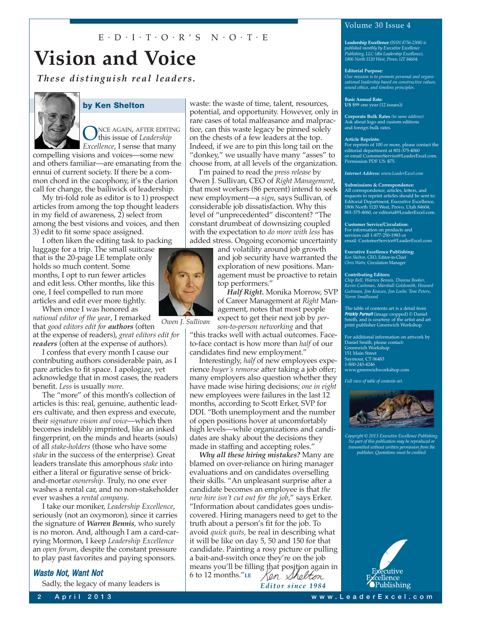## $E \cdot D \cdot I \cdot T \cdot O \cdot R$ 'S  $N \cdot O \cdot T \cdot E$

## **Vision and Voice**

*These distinguish real leaders.*



#### **by Ken Shelton**

NCE AGAIN, AFTER EDITING this issue of *Leadership Excellence*, I sense that many

compelling visions and voices—some new and others familiar—are emanating from the ennui of current society. If there be a common chord in the cacophony, it's the clarion call for change, the bailiwick of leadership.

My tri-fold role as editor is to 1) prospect articles from among the top thought leaders in my field of awareness, 2) select from among the best visions and voices, and then 3) edit to fit some space assigned.

I often liken the editing task to packing luggage for a trip. The small suitcase that is the 20-page LE template only holds so much content. Some months, I opt to run fewer articles and edit less. Other months, like this one, I feel compelled to run more articles and edit ever more tightly.

When once I was honored as *national editor of the year*, I remarked that *good editors edit for authors* (often at the expense of readers), *great editors edit for readers* (often at the expense of authors).

I confess that every month I cause our contributing authors considerable pain, as I pare articles to fit space. I apologize, yet acknowledge that in most cases, the readers benefit. *Less* is usually *more*.

The "more" of this month's collection of articles is this: real, genuine, authentic leaders cultivate, and then express and execute, their *signature vision and voice*—which then becomes indelibly imprinted, like an inked fingerprint, on the minds and hearts (souls) of all *stake-holders* (those who have some *stake* in the success of the enterprise). Great leaders translate this amorphous *stake* into either a literal or figurative sense of brickand-mortar *ownership*. Truly, no one ever washes a rental car, and no non-stakeholder ever washes a *rental company*.

I take our moniker, *Leadership Excellence*, seriously (not an oxymoron), since it carries the signature of *Warren Bennis*, who surely is no moron. And, although I am a card-carrying Mormon, I keep *Leadership Excellence* an *open forum*, despite the constant pressure to play past favorites and paying sponsors.

## Waste Not, Want Not

Sadly, the legacy of many leaders is

waste: the waste of time, talent, resources, potential, and opportunity. However, only in rare cases of total malfeasance and malpractice, can this waste legacy be pinned solely on the chests of a few leaders at the top. Indeed, if we are to pin this long tail on the "donkey," we usually have many "asses" to choose from, at all levels of the organization.

I'm pained to read the *press release* by Owen J. Sullivan, CEO of *Right Management*, that most workers (86 percent) intend to seek new employment—a *sign*, says Sullivan, of considerable job dissatisfaction. Why this level of "unprecedented" discontent? "The constant drumbeat of downsizing coupled with the expectation to *do more with less* has added stress. Ongoing economic uncertainty

> and volatility around job growth and job security have warranted the exploration of new positions. Management must be proactive to retain top performers."

*Half Right.* Monika Morrow, SVP of Career Management at *Right* Management, notes that most people expect to get their next job by *per-*

*son-to-person networking* and that "this tracks well with actual outcomes. Faceto-face contact is how more than *half* of our candidates find new employment."

Interestingly, *half* of new employees experience *buyer's remorse* after taking a job offer; many employers also question whether they have made wise hiring decisions; *one in eight* new employees were failures in the last 12 months, according to Scott Erker, SVP for DDI. "Both unemployment and the number of open positions hover at uncomfortably high levels—while organizations and candidates are shaky about the decisions they made in staffing and accepting roles."

*Why all these hiring mistakes?* Many are blamed on over-reliance on hiring manager evaluations and on candidates overselling their skills. "An unpleasant surprise after a candidate becomes an employee is that *the new hire isn't cut out for the job*," says Erker. "Information about candidates goes undiscovered. Hiring managers need to get to the truth about a person's fit for the job. To avoid *quick quits,* be real in describing what it will be like on day 5, 50 and 150 for that candidate. Painting a rosy picture or pulling a bait-and-switch once they're on the job means you'll be filling that position again in 6 to 12 months."**LE** th*olt i*n

*Editor since 1984*

## Volume 30 Issue 4

**Leadership Excellence** *(ISSN 8756-2308) is published monthly by Executive Excellence Publishing, LLC (dba Leadership Excellence), 1806 North 1120 West, Provo, UT 84604.*

#### **Editorial Purpose:**

*Our mission is to promote personal and organi-zational leadership based on constructive values, sound ethics, and timeless principles.*

**Basic Annual Rate: US** \$99 one year (12 issues))

**Corporate Bulk Rates** *(to same address)* Ask about logo and custom editions and foreign bulk rates.

#### **Article Reprints:**

For reprints of 100 or more, please contact the editorial department at 801-375-4060 or email [CustomerService@LeaderExcel.com.](mailto:CustomerService@LeaderExcel.com)  Permission PDF US: \$75.

*Internet Address: [www.LeaderExcel.com](http://www.LeaderExcel.com)*

#### **Submissions & Correspondence:**

All correspondence, articles, letters, and requests to reprint articles should be sent to: Editorial Department, Executive Excellence, 1806 North 1120 West, Provo, Utah 84604; 801-375-4060, or [editorial@LeaderExcel.com.](mailto:editorial@LeaderExcel.com)

**Customer Service/Circulation:** For information on products and services call 1-877-250-1983 or

email: [CustomerService@LeaderExcel.com.](mailto:CustomerService@LeaderExcel.com)

**Executive Excellence Publishing:** *Ken Shelton,* CEO, Editor-in-Chief *Chris Watts,* Circulation Manager

#### **Contributing Editors:**

*Chip Bell, Warren Bennis, Dianna Booher, Kevin Cashman, Marshall Goldsmith, Howard Guttman, Jim Kouzes, Jim Loehr, Tom Peters, Norm Smallwood*

The table of contents art is a detail from<br>**Prickly Pursuit** (image cropped) © Daniel<br>Smith, and is courtesy of the artist and art print publisher Greenwich Workshop*.*

For additional information on artwork by Daniel Smith, please contact: Greenwich Workshop 151 Main Street Saymour, CT 06483 1-800-243-4246 [www.greenwichworkshop.com](http://www.greenwichworkshop.com)

*Full view of table of contents art.*



*Copyright © 2013 Executive Excellence Publishing. No part of this publication may be reproduced or transmitted without written permission from the publisher. Quotations must be credited.*



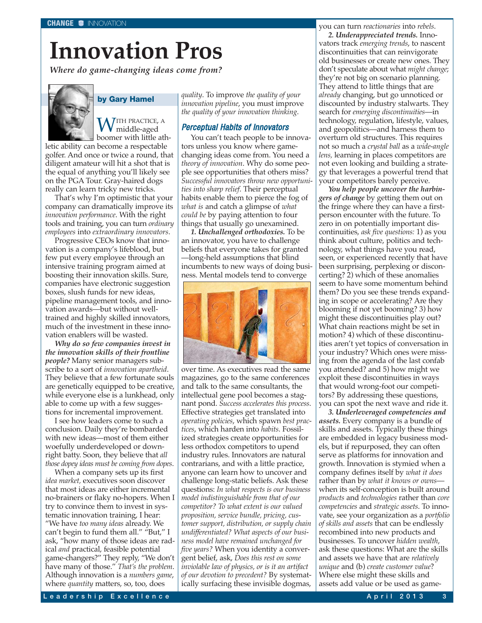# <span id="page-3-0"></span>**Innovation Pros**

*Where do game-changing ideas come from?*



#### **by Gary Hamel**

 $\bigvee_{\mathsf{m}}$ ITH PRACTICE, A middle-aged boomer with little ath-

letic ability can become a respectable golfer. And once or twice a round, that diligent amateur will hit a shot that is the equal of anything you'll likely see on the PGA Tour. Gray-haired dogs really can learn tricky new tricks.

That's why I'm optimistic that your company can dramatically improve its *innovation performance*. With the right tools and training, you can turn *ordinary employees* into *extraordinary innovators*.

Progressive CEOs know that innovation is a company's lifeblood, but few put every employee through an intensive training program aimed at boosting their innovation skills. Sure, companies have electronic suggestion boxes, slush funds for new ideas, pipeline management tools, and innovation awards—but without welltrained and highly skilled innovators, much of the investment in these innovation enablers will be wasted.

*Why do so few companies invest in the innovation skills of their frontline people?* Many senior managers subscribe to a sort of *innovation apartheid*. They believe that a few fortunate souls are genetically equipped to be creative, while everyone else is a lunkhead, only able to come up with a few suggestions for incremental improvement.

I see how leaders come to such a conclusion. Daily they're bombarded with new ideas—most of them either woefully underdeveloped or downright batty. Soon, they believe that *all those dopey ideas must be coming from dopes*.

When a company sets up its first *idea market,* executives soon discover that most ideas are either incremental no-brainers or flaky no-hopers. When I try to convince them to invest in systematic innovation training, I hear: "We have *too many ideas* already. We can't begin to fund them all." "But," I ask, "how many of those ideas are radical *and* practical, feasible potential game-changers?" They reply, "We don't have many of those." *That's the problem*. Although innovation is a *numbers game*, where *quantity* matters, so, too, does

*quality*. To improve *the quality of your innovation pipeline*, you must improve *the quality of your innovation thinking*.

#### Perceptual Habits of Innovators

You can't teach people to be innovators unless you know where gamechanging ideas come from. You need a *theory of innovation*. Why do some people see opportunities that others miss? *Successful innovators throw new opportunities into sharp relief*. Their perceptual habits enable them to pierce the fog of *what is* and catch a glimpse of *what could be* by paying attention to four things that usually go unexamined.

*1. Unchallenged orthodoxies.* To be an innovator, you have to challenge beliefs that everyone takes for granted —long-held assumptions that blind incumbents to new ways of doing business. Mental models tend to converge



over time. As executives read the same magazines, go to the same conferences and talk to the same consultants, the intellectual gene pool becomes a stagnant pond. *Success accelerates this process*. Effective strategies get translated into *operating policies*, which spawn *best practices*, which harden into *habits*. Fossilized strategies create opportunities for less orthodox competitors to upend industry rules. Innovators are natural contrarians, and with a little practice, anyone can learn how to uncover and challenge long-static beliefs. Ask these questions: *In what respects is our business model indistinguishable from that of our competitor? To what extent is our valued proposition, service bundle, pricing, customer support, distribution, or supply chain undifferentiated? What aspects of our business model have remained unchanged for five years?* When you identity a convergent belief, ask, *Does this rest on some inviolable law of physics, or is it an artifact of our devotion to precedent?* By systematically surfacing these invisible dogmas,

you can turn *reactionaries* into *rebels*. *2. Underappreciated trends.* Innovators track *emerging trends*, to nascent discontinuities that can reinvigorate old businesses or create new ones. They don't speculate about what *might change*; they're not big on scenario planning. They attend to little things that are *already* changing, but go unnoticed or discounted by industry stalwarts. They search for *emerging discontinuities*—in technology, regulation, lifestyle, values, and geopolitics—and harness them to overturn old structures. This requires not so much a *crystal ball* as a *wide-angle lens,* learning in places competitors are not even looking and building a strategy that leverages a powerful trend that your competitors barely perceive.

*You help people uncover the harbingers of change* by getting them out on the fringe where they can have a firstperson encounter with the future. To zero in on potentially important discontinuities, *ask five questions:* 1) as you think about culture, politics and technology, what things have you read, seen, or experienced recently that have been surprising, perplexing or disconcerting? 2) which of these anomalies seem to have some momentum behind them? Do you see these trends expanding in scope or accelerating? Are they blooming if not yet booming? 3) how might these discontinuities play out? What chain reactions might be set in motion? 4) which of these discontinuities aren't yet topics of conversation in your industry? Which ones were missing from the agenda of the last confab you attended? and 5) how might we exploit these discontinuities in ways that would wrong-foot our competitors? By addressing these questions, you can spot the next wave and ride it.

*3. Underleveraged competencies and assets.* Every company is a bundle of skills and assets. Typically these things are embedded in legacy business models, but if repurposed, they can often serve as platforms for innovation and growth. Innovation is stymied when a company defines itself by *what it does* rather than by *what it knows or owns* when its self-conception is built around *products* and *technologies* rather than *core competencies* and *strategic assets*. To innovate, see your organization as a *portfolio of skills and assets* that can be endlessly recombined into new products and businesses. To uncover *hidden wealth*, ask these questions: What are the skills and assets we have that are *relatively unique* and (b) *create customer value*? Where else might these skills and assets add value or be used as game-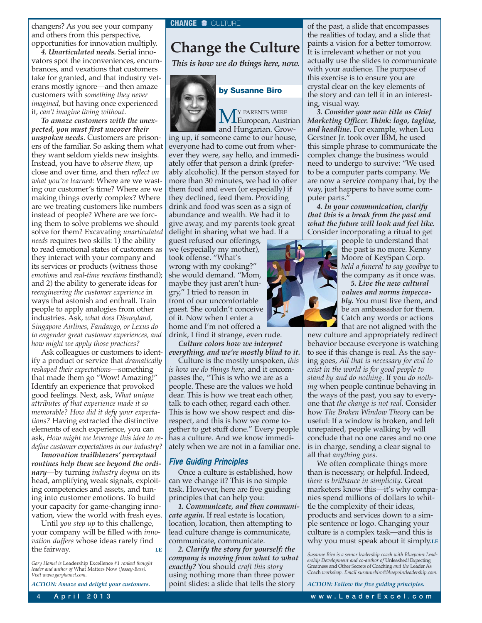<span id="page-4-0"></span>changers? As you see your company and others from this perspective, opportunities for innovation multiply.

*4. Unarticulated needs.* Serial innovators spot the inconveniences, encumbrances, and vexations that customers take for granted, and that industry veterans mostly ignore—and then amaze customers with *something they never imagined*, but having once experienced it, *can't imagine living without*.

*To amaze customers with the unexpected, you must first uncover their unspoken needs*. Customers are prisoners of the familiar. So asking them what they want seldom yields new insights. Instead, you have to *observe them*, up close and over time, and then *reflect on what you've learned:* Where are we wasting our customer's time? Where are we making things overly complex? Where are we treating customers like numbers instead of people? Where are we forcing them to solve problems we should solve for them? Excavating *unarticulated needs* requires two skills: 1) the ability to read emotional states of customers as they interact with your company and its services or products (witness those *emotions* and *real-time reactions* firsthand); and 2) the ability to generate ideas for *reengineering the customer experience* in ways that astonish and enthrall. Train people to apply analogies from other industries. Ask, *what does Disneyland, Singapore Airlines, Fandango, or Lexus do to engender great customer experiences, and how might we apply those practices?*

Ask colleagues or customers to identify a product or service that *dramatically reshaped their expectations*—something that made them go "Wow! Amazing!" Identify an experience that provoked good feelings. Next, ask, *What unique attributes of that experience made it so memorable? How did it defy your expectations?* Having extracted the distinctive elements of each experience, you can ask, *How might we leverage this idea to redefine customer expectations in our industry?*

*Innovation trailblazers' perceptual routines help them see beyond the ordinary*—by turning *industry dogma* on its head, amplifying weak signals, exploiting competencies and assets, and tuning into customer emotions. To build your capacity for game-changing innovation, view the world with fresh eyes.

Until *you step up* to this challenge, your company will be filled with *innovation duffers* whose ideas rarely find the fairway. **LE**

*Gary Hamel is* Leadership Excellence *#1 ranked thought leader and author of* What Matters Now *(Jossey-Bass). Visit [www.garyhamel.com.](http://www.garyhamel.com)*

*ACTION: Amaze and delight your customers.*

## **Change the Culture**

*This is how we do things here, now.*



 $M^Y$  PARENTS WERE<br>and Humanian Green

and Hungarian. Growing up, if someone came to our house, everyone had to come out from wherever they were, say hello, and immediately offer that person a drink (preferably alcoholic). If the person stayed for more than 30 minutes, we had to offer them food and even (or especially) if they declined, feed them. Providing drink and food was seen as a sign of abundance and wealth. We had it to give away, and my parents took great delight in sharing what we had. If a

guest refused our offerings, we (especially my mother), took offense. "What's wrong with my cooking?" she would demand. "Mom, maybe they just aren't hungry," I tried to reason in front of our uncomfortable guest. She couldn't conceive of it. Now when I enter a home and I'm not offered a drink, I find it strange, even rude.

*Culture colors how we interpret everything, and we're mostly blind to it.*

Culture is the mostly unspoken, *this is how we do things here,* and it encompasses the, "This is who we are as a people. These are the values we hold dear. This is how we treat each other, talk to each other, regard each other. This is how we show respect and disrespect, and this is how we come together to get stuff done." Every people has a culture. And we know immediately when we are not in a familiar one.

#### Five Guiding Principles

Once a culture is established, how can we change it? This is no simple task. However, here are five guiding principles that can help you:

*1. Communicate, and then communicate again.* If real estate is location, location, location, then attempting to lead culture change is communicate, communicate, communicate.

*2. Clarify the story for yourself: the company is moving from what to what exactly?* You should *craft this story* using nothing more than three power point slides: a slide that tells the story

of the past, a slide that encompasses the realities of today, and a slide that paints a vision for a better tomorrow. It is irrelevant whether or not you actually use the slides to communicate with your audience. The purpose of this exercise is to ensure you are crystal clear on the key elements of the story and can tell it in an interesting, visual way.

*3. Consider your new title as Chief Marketing Officer. Think: logo, tagline, and headline.* For example, when Lou Gerstner Jr. took over IBM, he used this simple phrase to communicate the complex change the business would need to undergo to survive: "We used to be a computer parts company. We are now a service company that, by the way, just happens to have some computer parts."

*4. In your communication, clarify that this is a break from the past and what the future will look and feel like.* Consider incorporating a ritual to get

> people to understand that the past is no more. Kenny Moore of KeySpan Corp. *held a funeral to say goodbye* to the company as it once was.

*5. Live the new cultural values and norms impeccably.* You must live them, and be an ambassador for them. Catch any words or actions that are not aligned with the

new culture and appropriately redirect behavior because everyone is watching to see if this change is real. As the saying goes, *All that is necessary for evil to exist in the world is for good people to stand by and do nothing*. If you *do nothing* when people continue behaving in the ways of the past, you say to everyone that *the change is not real*. Consider how *The Broken Window Theory* can be useful: If a window is broken, and left unrepaired, people walking by will conclude that no one cares and no one is in charge, sending a clear signal to all that *anything goes*.

We often complicate things more than is necessary, or helpful. Indeed, *there is brilliance in simplicity*. Great marketers know this—it's why companies spend millions of dollars to whittle the complexity of their ideas, products and services down to a simple sentence or logo. Changing your culture is a complex task—and this is why you must speak about it simply.**LE**

*Susanne Biro is a senior leadership coach with Bluepoint Lead-ership Development and co-author of* Unleashed! Expecting Greatness and Other Secrets of Coaching *and the* Leader As Coach *workshop. Email [susannebiro@bluepointleadership.com.](mailto:susannebiro@bluepointleadership.com)*

*ACTION: Follow the five guiding principles.*

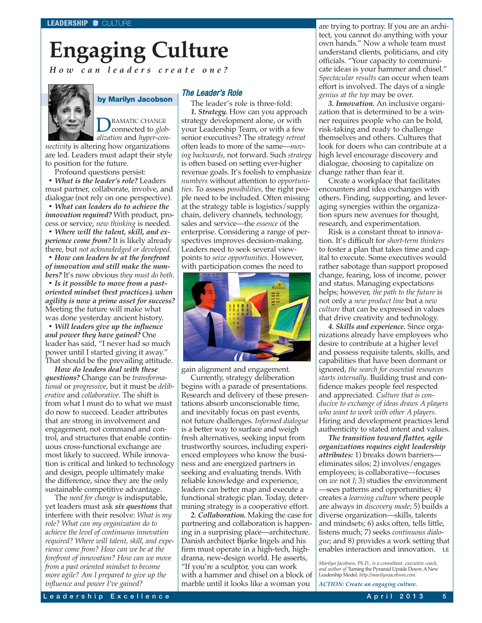## <span id="page-5-0"></span>**Engaging Culture** *How can leaders create one?*



#### **by Marilyn Jacobson**

DRAMATIC CHANGE<br>
connected to *glob-*

*alization* and *hyper-connectivity* is altering how organizations are led. Leaders must adapt their style to position for the future.

Profound questions persist:

*• What is the leader's role?* Leaders must partner, collaborate, involve, and dialogue (not rely on one perspective).

*• What can leaders do to achieve the innovation required?* With product, process or service, *new thinking* is needed.

*• Where will the talent, skill, and experience come from?* It is likely already there, but *not acknowledged or developed*.

*• How can leaders be at the forefront of innovation and still make the numbers?* It's now obvious *they must do both.*

*• Is it possible to move from a pastoriented mindset (best practices), when agility is now a prime asset for success?* Meeting the future will make what was done yesterday ancient history.

*• Will leaders give up the influence and power they have gained?* One leader has said, "I never had so much power until I started giving it away." That should be the prevailing attitude.

*How do leaders deal with these questions?* Change can be *transformational* or *progressive*, but it must be *deliberative* and *collaborative*. The shift is from what I must do to what we must do now to succeed. Leader attributes that are strong in involvement and engagement, not command and control, and structures that enable continuous cross-functional exchange are most likely to succeed. While innovation is critical and linked to technology and design, people ultimately make the difference, since they are the only sustainable competitive advantage.

The *need for change* is indisputable, yet leaders must ask *six questions* that interfere with their resolve: *What is my role? What can my organization do to achieve the level of continuous innovation required? Where will talent, skill, and experience come from? How can we be at the forefront of innovation? How can we move from a past oriented mindset to become more agile? Am I prepared to give up the influence and power I've gained?*

## The Leader's Role

The leader's role is three-fold: *1. Strategy.* How can you approach strategy development alone, or with your Leadership Team, or with a few senior executives? The strategy *retreat* often leads to more of the same—*moving backwards*, not forward. Such *strategy* is often based on setting ever-higher revenue goals. It's foolish to emphasize *numbers* without attention to *opportunities*. To assess *possibilities*, the right people need to be included. Often missing at the strategy table is logistics/supply chain, delivery channels, technology, sales and service—the *essence* of the enterprise. Considering a range of perspectives improves decision-making. Leaders need to seek several viewpoints to *seize opportunities*. However, with participation comes the need to



gain alignment and engagement.

Currently, strategy deliberation begins with a parade of presentations. Research and delivery of these presentations absorb unconscionable time, and inevitably focus on past events, not future challenges. *Informed dialogue* is a better way to surface and weigh fresh alternatives, seeking input from trustworthy sources, including experienced employees who know the business and are energized partners in seeking and evaluating trends. With reliable knowledge and experience, leaders can better map and execute a functional strategic plan. Today, determining strategy is a cooperative effort.

*2. Collaboration.* Making the case for partnering and collaboration is happening in a surprising place—architecture. Danish architect Bjarke Ingels and his firm must operate in a high-tech, highdrama, new-design world. He asserts, "If you're a sculptor, you can work with a hammer and chisel on a block of marble until it looks like a woman you

are trying to portray. If you are an architect, you cannot do anything with your own hands." Now a whole team must understand clients, politicians, and city officials. "Your capacity to communicate ideas is your hammer and chisel." *Spectacular results* can occur when team effort is involved. The days of a single *genius at the top* may be over.

*3. Innovation.* An inclusive organization that is determined to be a winner requires people who can be bold, risk-taking and ready to challenge themselves and others. Cultures that look for doers who can contribute at a high level encourage discovery and dialogue, choosing to capitalize on change rather than fear it.

Create a workplace that facilitates encounters and idea exchanges with others. Finding, supporting, and leveraging synergies within the organization spurs new avenues for thought, research, and experimentation.

Risk is a constant threat to innovation. It's difficult for *short-term thinkers* to foster a plan that takes time and capital to execute. Some executives would rather sabotage than support proposed change, fearing, loss of income, power and status. Managing expectations helps; however, *the path to the future* is not only a *new product line* but a *new culture* that can be expressed in values that drive creativity and technology.

*4. Skills and experience.* Since organizations already have employees who desire to contribute at a higher level and possess requisite talents, skills, and capabilities that have been dormant or ignored, *the search for essential resources starts internally*. Building trust and confidence makes people feel respected and appreciated. *Culture that is conducive to exchange of ideas draws A players who want to work with other A players.* Hiring and development practices lend authenticity to stated intent and values.

*The transition toward flatter, agile organizations requires eight leadership attributes:* 1) breaks down barriers eliminates silos; 2) involves/engages employees; is collaborative—focuses on *we* not *I*; 3) studies the environment —sees patterns and opportunities; 4) creates a *learning culture* where people are always in *discovery mode*; 5) builds a diverse organization—skills, talents and mindsets; 6) asks often, tells little, listens much; 7) seeks *continuous dialogue*; and 8) provides a work setting that enables interaction and innovation. **LE**

*Marilyn Jacobson, Ph.D., is a consultant, executive coach, and author of* Turning the Pyramid Upside Down: A New Leadership Model*. [http://marilynjacobson.com.](http://marilynjacobson.com)*

*ACTION: Create an engaging culture.*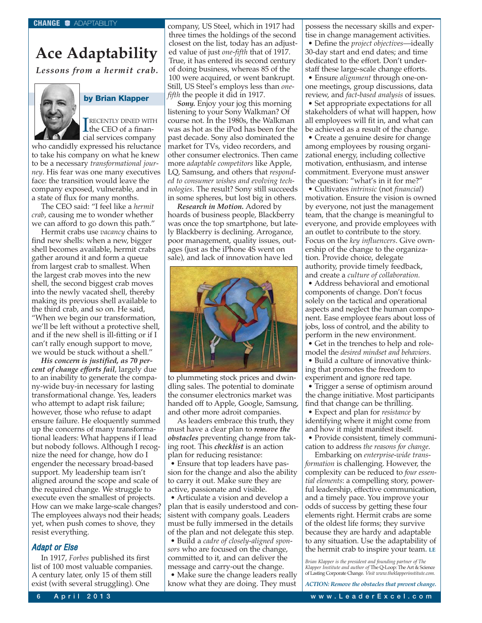## <span id="page-6-0"></span>**Ace Adaptability**

*Lessons from a hermit crab.*



## **by Brian Klapper**

**TRECENTLY DINED WITH**<br>the CEO of a finan-RECENTLY DINED WITH cial services company

who candidly expressed his reluctance to take his company on what he knew to be a necessary *transformational journey*. His fear was one many executives face: the transition would leave the company exposed, vulnerable, and in a state of flux for many months.

The CEO said: "I feel like a *hermit crab*, causing me to wonder whether we can afford to go down this path."

Hermit crabs use *vacancy* chains to find new shells: when a new, bigger shell becomes available, hermit crabs gather around it and form a queue from largest crab to smallest. When the largest crab moves into the new shell, the second biggest crab moves into the newly vacated shell, thereby making its previous shell available to the third crab, and so on. He said, "When we begin our transformation, we'll be left without a protective shell, and if the new shell is ill-fitting or if I can't rally enough support to move, we would be stuck without a shell."

*His concern is justified, as 70 percent of change efforts fail*, largely due to an inability to generate the company-wide buy-in necessary for lasting transformational change. Yes, leaders who attempt to adapt risk failure; however, those who refuse to adapt ensure failure. He eloquently summed up the concerns of many transformational leaders: What happens if I lead but nobody follows. Although I recognize the need for change, how do I engender the necessary broad-based support. My leadership team isn't aligned around the scope and scale of the required change. We struggle to execute even the smallest of projects. How can we make large-scale changes? The employees always nod their heads; yet, when push comes to shove, they resist everything.

## Adapt or Else

In 1917, *Forbes* published its first list of 100 most valuable companies. A century later, only 15 of them still exist (with several struggling). One

company, US Steel, which in 1917 had three times the holdings of the second closest on the list, today has an adjusted value of just *one-fifth* that of 1917. True, it has entered its second century of doing business, whereas 85 of the 100 were acquired, or went bankrupt. Still, US Steel's employs less than *onefifth* the people it did in 1917.

*Sony.* Enjoy your jog this morning listening to your Sony Walkman? Of course not. In the 1980s, the Walkman was as hot as the iPod has been for the past decade. Sony also dominated the market for TVs, video recorders, and other consumer electronics. Then came more *adaptable competitors* like Apple, LQ, Samsung, and others that *responded to consumer wishes and evolving technologies*. The result? Sony still succeeds in some spheres, but lost big in others.

*Research in Motion.* Adored by hoards of business people, Blackberry was once the top smartphone, but lately Blackberry is declining. Arrogance, poor management, quality issues, outages (just as the iPhone 4S went on sale), and lack of innovation have led



to plummeting stock prices and dwindling sales. The potential to dominate the consumer electronics market was handed off to Apple, Google, Samsung, and other more adroit companies.

As leaders embrace this truth, they must have a clear plan to *remove the obstacles* preventing change from taking root. This *checklist* is an action plan for reducing resistance:

• Ensure that top leaders have passion for the change and also the ability to carry it out. Make sure they are active, passionate and visible.

• Articulate a vision and develop a plan that is easily understood and consistent with company goals. Leaders must be fully immersed in the details of the plan and not delegate this step.

• Build a *cadre of closely-aligned sponsors* who are focused on the change, committed to it, and can deliver the message and carry-out the change.

• Make sure the change leaders really know what they are doing. They must

possess the necessary skills and expertise in change management activities. • Define the *project objectives*—ideally

30-day start and end dates; and time dedicated to the effort. Don't understaff these large-scale change efforts.

• Ensure *alignment* through one-onone meetings, group discussions, data review, and *fact-based analysis* of issues. • Set appropriate expectations for all stakeholders of what will happen, how all employees will fit in, and what can be achieved as a result of the change.

• Create a genuine desire for change among employees by rousing organizational energy, including collective motivation, enthusiasm, and intense commitment. Everyone must answer the question: "what's in it for me?"

• Cultivates *intrinsic* (not *financial*) motivation. Ensure the vision is owned by everyone, not just the management team, that the change is meaningful to everyone, and provide employees with an outlet to contribute to the story. Focus on the *key influencers*. Give ownership of the change to the organization. Provide choice, delegate authority, provide timely feedback, and create a *culture of collaboration.*

• Address behavioral and emotional components of change. Don't focus solely on the tactical and operational aspects and neglect the human component. Ease employee fears about loss of jobs, loss of control, and the ability to perform in the new environment.

• Get in the trenches to help and rolemodel the *desired mindset and behaviors*.

• Build a culture of innovative thinking that promotes the freedom to experiment and ignore red tape.

• Trigger a sense of optimism around the change initiative. Most participants find that change can be thrilling.

• Expect and plan for *resistance* by identifying where it might come from and how it might manifest itself.

• Provide consistent, timely communication to address *the reasons for change*.

Embarking on *enterprise-wide transformation* is challenging. However, the complexity can be reduced to *four essential elements*: a compelling story, powerful leadership, effective communication, and a timely pace. You improve your odds of success by getting these four elements right. Hermit crabs are some of the oldest life forms; they survive because they are hardy and adaptable to any situation. Use the adaptability of the hermit crab to inspire your team. **LE**

*Brian Klapper is the president and founding partner of The Klapper Institute and author of* The Q-Loop: The Art & Science of Lasting Corporate Change*. Visit [www.theklapperinstitute.com.](http://www.theklapperinstitute.com)*

*ACTION: Remove the obstacles that prevent change.*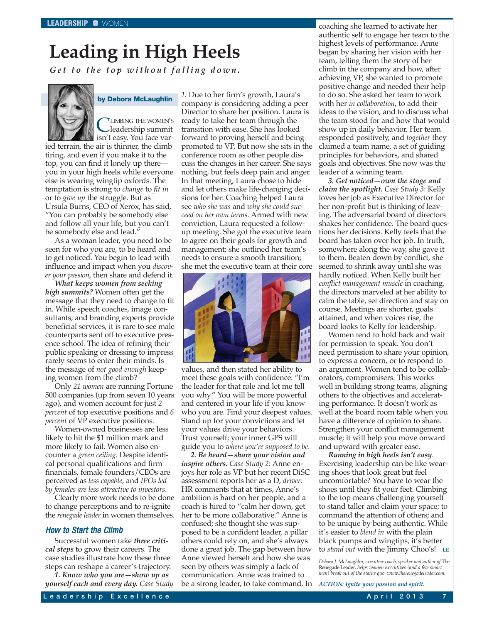# <span id="page-7-0"></span>**Leading in High Heels**

*Get to the top without falling down.*



**by Debora McLaughlin**

**CLIMBING THE WOMEN'S**<br>leadership summit isn't easy. You face varied terrain, the air is thinner, the climb tiring, and even if you make it to the top, you can find it lonely up there you in your high heels while everyone else is wearing wingtip oxfords. The temptation is strong to *change* to *fit in* or to *give up* the struggle. But as Ursula Burns, CEO of Xerox, has said, "You can probably be somebody else and follow all your life, but you can't be somebody else and lead."

As a woman leader, you need to be seen for who you are, to be heard and to get noticed. You begin to lead with influence and impact when you *discover your passion*, then share and defend it.

*What keeps women from seeking high summits?* Women often get the message that they need to change to fit in. While speech coaches, image consultants, and branding experts provide beneficial services, it is rare to see male counterparts sent off to executive presence school. The idea of refining their public speaking or dressing to impress rarely seems to enter their minds. Is the message of *not good enough* keeping women from the climb?

Only *21 women* are running Fortune 500 companies (up from seven 10 years ago), and women account for just *2 percent* of top executive positions and *6 percent* of VP executive positions.

Women-owned businesses are less likely to hit the \$1 million mark and more likely to fail. Women also encounter a *green ceiling*. Despite identical personal qualifications and firm financials, female founders/CEOs are perceived as *less capable*, and *IPOs led by females are less attractive to investors*.

Clearly more work needs to be done to change perceptions and to re-ignite the *renegade leader* in women themselves.

## How to Start the Climb

Successful women take *three critical steps* to grow their careers. The case studies illustrate how these three steps can reshape a career's trajectory.

*1. Know who you are—show up as yourself each and every day. Case Study* *1:* Due to her firm's growth, Laura's company is considering adding a peer Director to share her position. Laura is ready to take her team through the transition with ease. She has looked forward to proving herself and being promoted to VP. But now she sits in the conference room as other people discuss the changes in her career. She says nothing, but feels deep pain and anger. In that meeting, Laura chose to hide and let others make life-changing decisions for her. Coaching helped Laura see *who she was* and *why she could succeed on her own terms*. Armed with new conviction, Laura requested a followup meeting. She got the executive team to agree on their goals for growth and management; she outlined her team's needs to ensure a smooth transition; she met the executive team at their core



values, and then stated her ability to meet these goals with confidence: "I'm the leader for that role and let me tell you why." You will be more powerful and centered in your life if you know who you are. Find your deepest values. Stand up for your convictions and let your values drive your behaviors. Trust yourself; your inner GPS will guide you to *where you're supposed to be*.

*2. Be heard—share your vision and inspire others. Case Study 2*: Anne enjoys her role as VP but her recent DiSC assessment reports her as a D, *driver*. HR comments that at times, Anne's ambition is hard on her people, and a coach is hired to "calm her down, get her to be more collaborative." Anne is confused; she thought she was supposed to be a confident leader, a pillar others could rely on, and she's always done a great job. The gap between how Anne viewed herself and how she was seen by others was simply a lack of communication. Anne was trained to be a strong leader, to take command. In

coaching she learned to activate her authentic self to engage her team to the highest levels of performance. Anne began by sharing her vision with her team, telling them the story of her climb in the company and how, after achieving VP, she wanted to promote positive change and needed their help to do so. She asked her team to work with her *in collaboration*, to add their ideas to the vision, and to discuss what the team stood for and how that would show up in daily behavior. Her team responded positively, and *together* they claimed a team name, a set of guiding principles for behaviors, and shared goals and objectives. She now was the leader of a winning team.

*3. Get noticed—own the stage and claim the spotlight. Case Study 3*: Kelly loves her job as Executive Director for her non-profit but is thinking of leaving. The adversarial board of directors shakes her confidence. The board questions her decisions. Kelly feels that the board has taken over her job. In truth, somewhere along the way, she gave it to them. Beaten down by conflict, she seemed to shrink away until she was hardly noticed. When Kelly built her *conflict management muscle* in coaching, the directors marveled at her ability to calm the table, set direction and stay on course. Meetings are shorter, goals attained, and when voices rise, the board looks to Kelly for leadership.

Women tend to hold back and wait for permission to speak. You don't need permission to share your opinion, to express a concern, or to respond to an argument. Women tend to be collaborators, compromisers. This works well in building strong teams, aligning others to the objectives and accelerating performance. It doesn't work as well at the board room table when you have a difference of opinion to share. Strengthen your conflict management muscle; it will help you move onward and upward with greater ease.

*Running in high heels isn't easy*. Exercising leadership can be like wearing shoes that look great but feel uncomfortable? You have to wear the shoes until they fit your feet. Climbing to the top means challenging yourself to stand taller and claim your space; to command the attention of others; and to be unique by being authentic. While it's easier to *blend in* with the plain black pumps and wingtips, it's better to *stand out* with the Jimmy Choo's! **LE**

*Debora J. McLaughlin, executive coach, speaker and author of* The Renegade Leader*, helps women executives (and a few smart men) break out of the status quo. [www.therenegadeleader.com.](http://www.therenegadeleader.com)*

*ACTION: Ignite your passion and spirit.*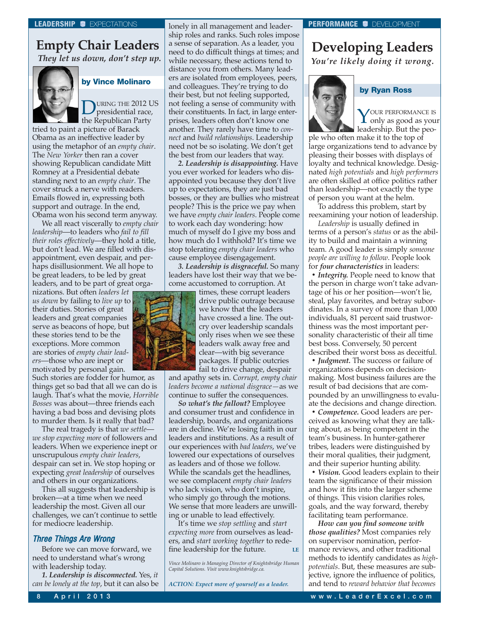## **Empty Chair Leaders**

*They let us down, don't step up.*



## **by Vince Molinaro**

URING THE 2012 US presidential race, the Republican Party

tried to paint a picture of Barack Obama as an ineffective leader by using the metaphor of an *empty chair*. The *New Yorker* then ran a cover showing Republican candidate Mitt Romney at a Presidential debate standing next to an *empty chair*. The cover struck a nerve with readers. Emails flowed in, expressing both support and outrage. In the end, Obama won his second term anyway.

We all react viscerally to *empty chair leadership*—to leaders who *fail to fill their roles effectively*—they hold a title, but don't lead. We are filled with disappointment, even despair, and perhaps disillusionment. We all hope to be great leaders, to be led by great leaders, and to be part of great orga-

nizations. But often *leaders let us down* by failing to *live up* to their duties. Stories of great leaders and great companies serve as beacons of hope, but these stories tend to be the exceptions. More common are stories of *empty chair leaders*—those who are inept or motivated by personal gain.

Such stories are fodder for humor, as things get so bad that all we can do is laugh. That's what the movie, *Horrible Bosses* was about—three friends each having a bad boss and devising plots to murder them. Is it really that bad?

The real tragedy is that *we settle we stop expecting more* of followers and leaders. When we experience inept or unscrupulous *empty chair leaders*, despair can set in. We stop hoping or expecting *great leadership* of ourselves and others in our organizations.

This all suggests that leadership is broken—at a time when we need leadership the most. Given all our challenges, we can't continue to settle for mediocre leadership.

## Three Things Are Wrong

Before we can move forward, we need to understand what's wrong with leadership today.

*1. Leadership is disconnected.* Yes, *it can be lonely at the top*, but it can also be lonely in all management and leadership roles and ranks. Such roles impose a sense of separation. As a leader, you need to do difficult things at times; and while necessary, these actions tend to distance you from others. Many leaders are isolated from employees, peers, and colleagues. They're trying to do their best, but not feeling supported, not feeling a sense of community with their constituents. In fact, in large enterprises, leaders often don't know one another. They rarely have time to *connect* and *build relationships*. Leadership need not be so isolating. We don't get the best from our leaders that way.

*2. Leadership is disappointing.* Have you ever worked for leaders who disappointed you because they don't live up to expectations, they are just bad bosses, or they are bullies who mistreat people? This is the price we pay when we have *empty chair leaders*. People come to work each day wondering: how much of myself do I give my boss and how much do I withhold? It's time we stop tolerating *empty chair leaders* who cause employee disengagement.

*3. Leadership is disgraceful.* So many leaders have lost their way that we become accustomed to corruption. At



times, these corrupt leaders drive public outrage because we know that the leaders have crossed a line. The outcry over leadership scandals only rises when we see these leaders walk away free and clear—with big severance packages. If public outcries fail to drive change, despair

and apathy sets in. *Corrupt, empty chair leaders become a national disgrace—*as we continue to suffer the consequences.

*So what's the fallout?* Employee and consumer trust and confidence in leadership, boards, and organizations are in decline. We're losing faith in our leaders and institutions. As a result of our experiences with *bad leaders*, we've lowered our expectations of ourselves as leaders and of those we follow. While the scandals get the headlines, we see complacent *empty chair leaders* who lack vision, who don't inspire, who simply go through the motions. We sense that more leaders are unwilling or unable to lead effectively.

It's time we *stop settling* and *start expecting more* from ourselves as leaders, and *start working together* to redefine leadership for the future. **LE**

*ACTION: Expect more of yourself as a leader.*

## <span id="page-8-0"></span>**LEADERSHIP C** EXPECTATIONS **PERFORMANCE C** DEVELOPMENT

## **Developing Leaders** *You're likely doing it wrong.*



**by Ryan Ross**

YOUR PERFORMANCE IS<br>only as good as your leadership. But the peo-

ple who often make it to the top of large organizations tend to advance by pleasing their bosses with displays of loyalty and technical knowledge. Designated *high potentials* and *high performers* are often skilled at office politics rather than leadership—not exactly the type of person you want at the helm.

To address this problem, start by reexamining your notion of leadership.

*Leadership* is usually defined in terms of a person's *status* or as the ability to build and maintain a winning team. A good leader is simply *someone people are willing to follow*. People look for *four characteristics* in leaders:

*• Integrity.* People need to know that the person in charge won't take advantage of his or her position—won't lie, steal, play favorites, and betray subordinates. In a survey of more than 1,000 individuals, 81 percent said trustworthiness was the most important personality characteristic of their all time best boss. Conversely, 50 percent described their worst boss as deceitful.

*• Judgment.* The success or failure of organizations depends on decisionmaking. Most business failures are the result of bad decisions that are compounded by an unwillingness to evaluate the decisions and change direction.

*• Competence.* Good leaders are perceived as knowing what they are talking about, as being competent in the team's business. In hunter-gatherer tribes, leaders were distinguished by their moral qualities, their judgment, and their superior hunting ability.

*• Vision.* Good leaders explain to their team the significance of their mission and how it fits into the larger scheme of things. This vision clarifies roles, goals, and the way forward, thereby facilitating team performance.

*How can you find someone with those qualities?* Most companies rely on supervisor nomination, performance reviews, and other traditional methods to identify candidates as *highpotentials*. But, these measures are subjective, ignore the influence of politics, and tend to *reward behavior that becomes*

*Vince Molinaro is Managing Director of Knightsbridge Human Capital Solutions. Visit [www.knightsbridge.ca.](http://www.knightsbridge.ca)*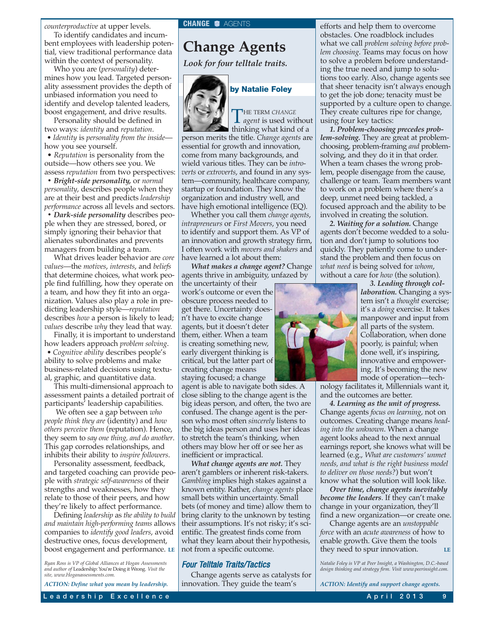<span id="page-9-0"></span>*counterproductive* at upper levels. **CHANGE CALLERTS** 

To identify candidates and incumbent employees with leadership potential, view traditional performance data within the context of personality.

Who you are (*personality*) determines how you lead. Targeted personality assessment provides the depth of unbiased information you need to identify and develop talented leaders, boost engagement, and drive results.

Personality should be defined in two ways: *identity* and *reputation*.

*• Identity* is *personality from the inside* how you see yourself.

• *Reputation* is personality from the outside—how others see you. We assess *reputation* from two perspectives:

*• Bright-side personality,* or *normal personality*, describes people when they are at their best and predicts *leadership performance* across all levels and sectors.

*• Dark-side personality* describes people when they are stressed, bored, or simply ignoring their behavior that alienates subordinates and prevents managers from building a team.

What drives leader behavior are *core values*—the *motives*, *interests*, and *beliefs* that determine choices, what work people find fulfilling, how they operate on a team, and how they fit into an organization. Values also play a role in predicting leadership style—*reputation* describes *how* a person is likely to lead; *values* describe *why* they lead that way.

Finally, it is important to understand how leaders approach *problem solving*. *• Cognitive ability* describes people's ability to solve problems and make business-related decisions using textual, graphic, and quantitative data.

This multi-dimensional approach to assessment paints a detailed portrait of participants' leadership capabilities.

We often see a gap between *who people think they are* (identity) and *how others perceive them* (reputation). Hence, they seem to *say one thing, and do another*. This gap corrodes relationships, and inhibits their ability to *inspire followers*.

Personality assessment, feedback, and targeted coaching can provide people with *strategic self-awareness* of their strengths and weaknesses, how they relate to those of their peers, and how they're likely to affect performance.

Defining *leadership* as *the ability to build and maintain high-performing teams* allows companies to *identify good leaders*, avoid destructive ones, focus development, boost engagement and performance. **LE**

*Ryan Ross is VP of Global Alliances at Hogan Assessments and author of* Leadership: You're Doing it Wrong*. Visit the site, [www.Hoganassessments.com.](http://www.Hoganassessments.com)*

*ACTION: Define what you mean by leadership.*

## **Change Agents**

*Look for four telltale traits.*



## **by Natalie Foley**

THE TERM *CHANGE*<br>*agent* is used without thinking what kind of a

person merits the title. *Change agents* are essential for growth and innovation, come from many backgrounds, and wield various titles. They can be *introverts* or *extroverts*, and found in any system—community, healthcare company, startup or foundation. They know the organization and industry well, and have high emotional intelligence (EQ).

Whether you call them *change agents*, *intrapreneurs* or *First Movers*, you need to identify and support them. As VP of an innovation and growth strategy firm, I often work with *movers and shakers* and have learned a lot about them:

*What makes a change agent?* Change agents thrive in ambiguity, unfazed by

the uncertainty of their work's outcome or even the obscure process needed to get there. Uncertainty doesn't have to excite change agents, but it doesn't deter them, either. When a team is creating something new, early divergent thinking is critical, but the latter part of creating change means staying focused; a change

agent is able to navigate both sides. A close sibling to the change agent is the big ideas person, and often, the two are confused. The change agent is the person who most often *sincerely* listens to the big ideas person and uses her ideas to stretch the team's thinking, when others may blow her off or see her as inefficient or impractical.

*What change agents are not.* They aren't gamblers or inherent risk-takers. *Gambling* implies high stakes against a known entity. Rather, *change agents* place small bets within uncertainty. Small bets (of money and time) allow them to bring clarity to the unknown by testing their assumptions. It's not risky; it's scientific. The greatest finds come from what they learn about their hypothesis, not from a specific outcome.

## Four Telltale Traits/Tactics

Change agents serve as catalysts for innovation. They guide the team's

efforts and help them to overcome obstacles. One roadblock includes what we call *problem solving before problem choosing*. Teams may focus on how to solve a problem before understanding the true need and jump to solutions too early. Also, change agents see that sheer tenacity isn't always enough to get the job done; tenacity must be supported by a culture open to change. They create cultures ripe for change, using four key tactics:

*1. Problem-choosing precedes problem-solving.* They are great at problemchoosing, problem-framing *and* problemsolving, and they do it in that order. When a team chases the wrong problem, people disengage from the cause, challenge or team. Team members want to work on a problem where there's a deep, unmet need being tackled, a focused approach and the ability to be involved in creating the solution.

*2. Waiting for a solution.* Change agents don't become wedded to a solution and don't jump to solutions too quickly. They patiently come to understand the problem and then focus on *what need* is being solved for *whom*, without a care for *how* (the solution).



nology facilitates it, Millennials want it, and the outcomes are better.

*4. Learning as the unit of progress.* Change agents *focus on learning*, not on outcomes. Creating change means *heading into the unknown*. When a change agent looks ahead to the next annual earnings report, she knows what will be learned (e.g., *What are customers' unmet needs, and what is the right business model to deliver on those needs?*) but won't know what the solution will look like.

*Over time, change agents inevitably become the leaders*. If they can't make change in your organization, they'll find a new organization—or create one.

Change agents are an *unstoppable force* with an *acute awareness* of how to enable growth. Give them the tools they need to spur innovation. **LE**

*Natalie Foley is VP at Peer Insight, a Washington, D.C.-based design thinking and strategy firm. Visit [www.peerinsight.com.](http://www.peerinsight.com)*

*ACTION: Identify and support change agents.*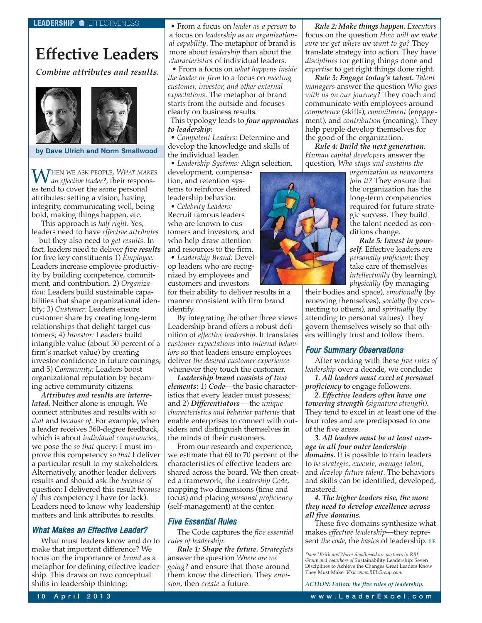## <span id="page-10-0"></span>**Effective Leaders**

*Combine attributes and results.*





WHEN WE ASK PEOPLE, *WHAT MAKES an effective leader?,* their responses tend to cover the same personal attributes: setting a vision, having integrity, communicating well, being bold, making things happen, etc.

This approach is *half right*. Yes, leaders need to have *effective attributes* —but they also need to *get results*. In fact, leaders need to deliver *five results* for five key constituents 1) *Employee:* Leaders increase employee productivity by building competence, commitment, and contribution. 2) *Organization:* Leaders build sustainable capabilities that shape organizational identity; 3) *Customer:* Leaders ensure customer share by creating long-term relationships that delight target customers; 4) *Investor:* Leaders build intangible value (about 50 percent of a firm's market value) by creating investor confidence in future earnings; and 5) *Community:* Leaders boost organizational reputation by becoming active community citizens.

*Attributes and results are interrelated.* Neither alone is enough. We connect attributes and results with *so that* and *because of*. For example, when a leader receives 360-degree feedback, which is about *individual competencies*, we pose the *so that* query: I must improve this competency *so that* I deliver a particular result to my stakeholders. Alternatively, another leader delivers results and should ask the *because of* question: I delivered this result *because of* this competency I have (or lack). Leaders need to know why leadership matters and link attributes to results.

## What Makes an Effective Leader?

What must leaders know and do to make that important difference? We focus on the importance of *brand* as a metaphor for defining effective leadership. This draws on two conceptual shifts in leadership thinking:

• From a focus on *leader as a person* to a focus on *leadership as an organizational capability*. The metaphor of brand is more about *leadership* than about the *characteristics* of individual leaders.

• From a focus on *what happens inside the leader or firm* to a focus on *meeting customer, investor, and other external expectations*. The metaphor of brand starts from the outside and focuses clearly on business results.

This typology leads to *four approaches to leadership:*

• *Competent Leaders:* Determine and develop the knowledge and skills of the individual leader.

• *Leadership Systems:* Align selection,

development, compensation, and retention systems to reinforce desired leadership behavior.

• *Celebrity Leaders:*

Recruit famous leaders who are known to customers and investors, and who help draw attention and resources to the firm.

• *Leadership Brand:* Develop leaders who are recognized by employees and customers and investors

for their ability to deliver results in a manner consistent with firm brand identify.

By integrating the other three views Leadership brand offers a robust definition of *effective leadership*. It translates *customer expectations* into *internal behaviors* so that leaders ensure employees deliver *the desired customer experience* whenever they touch the customer.

*Leadership brand consists of two elements*: 1) *Code*—the basic characteristics that every leader must possess; and 2) *Differentiators*— the *unique characteristics and behavior patterns* that enable enterprises to connect with outsiders and distinguish themselves in the minds of their customers.

From our research and experience, we estimate that 60 to 70 percent of the characteristics of effective leaders are shared across the board. We then created a framework, the *Leadership Code*, mapping two dimensions (time and focus) and placing *personal proficiency* (self-management) at the center.

## Five Essential Rules

The Code captures the *five essential rules of leadership*:

*Rule 1: Shape the future. Strategists* answer the question *Where are we going?* and ensure that those around them know the direction. They *envision*, then *create* a future.

*Rule 2: Make things happen. Executors* focus on the question *How will we make sure we get where we want to go?* They translate strategy into action. They have *disciplines* for getting things done and *expertise* to get right things done right.

*Rule 3: Engage today's talent. Talent managers* answer the question *Who goes with us on our journey?* They coach and communicate with employees around *competence* (skills), *commitment* (engagement), and *contribution* (meaning). They help people develop themselves for the good of the organization.

*Rule 4: Build the next generation. Human capital developers* answer the question, *Who stays and sustains the*



*organization as newcomers join it?* They ensure that the organization has the long-term competencies required for future strategic success. They build the talent needed as conditions change.

*Rule 5: Invest in yourself.* Effective leaders are *personally proficient*: they take care of themselves *intellectually* (by learning), *physically* (by managing

their bodies and space), *emotionally* (by renewing themselves), *socially* (by connecting to others), and *spiritually* (by attending to personal values). They govern themselves wisely so that others willingly trust and follow them.

## Four Summary Observations

After working with these *five rules of leadership* over a decade, we conclude:

*1. All leaders must excel at personal proficiency* to engage followers.

*2. Effective leaders often have one towering strength (signature strength).* They tend to excel in at least one of the four roles and are predisposed to one of the five areas.

*3. All leaders must be at least average in all four outer leadership domains.* It is possible to train leaders to *be strategic, execute, manage talent,* and *develop future talent*. The behaviors and skills can be identified, developed, mastered.

*4. The higher leaders rise, the more they need to develop excellence across all five domains.*

These five domains synthesize what makes *effective leadership*—they represent *the code*, the *basics* of leadership. **LE**

*Dave Ulrich and Norm Smallwood are partners in RBL Group and coauthors of* Sustainability Leadership: Seven Disciplines to Achieve the Changes Great Leaders Know They Must Make*. Visit [www.RBLGroup.com.](http://www.RBLGroup.com)*

*ACTION: Follow the five rules of leadership.*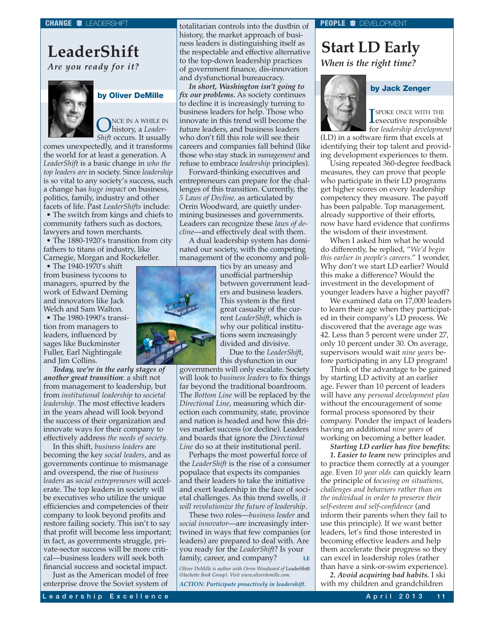## <span id="page-11-0"></span>**LeaderShift** *Are you ready for it?*



## **by Oliver DeMille**

**ONCE IN A WHILE IN**<br>Child convert Hammello *Shift* occurs. It usually

comes unexpectedly, and it transforms the world for at least a generation. A *LeaderShift* is a basic change in *who the top leaders are* in society. Since *leadership* is so vital to any society's success, such a change has *huge impact* on business, politics, family, industry and other facets of life. Past *LeaderShifts* include:

• The switch from kings and chiefs to community fathers such as doctors, lawyers and town merchants.

• The 1880-1920's transition from city fathers to titans of industry, like Carnegie, Morgan and Rockefeller.

• The 1940-1970's shift from business tycoons to managers, spurred by the work of Edward Deming and innovators like Jack Welch and Sam Walton.

• The 1980-1990's transition from managers to leaders, influenced by sages like Buckminster Fuller, Earl Nightingale and Jim Collins.

*Today, we're in the early stages of another great transition*: a shift not from management to leadership, but from *institutional leadership* to *societal leadership*. The most effective leaders in the years ahead will look beyond the success of their organization and innovate ways for their company to effectively address *the needs of society.*

In this shift, *business leaders* are becoming the key *social leaders*, and as governments continue to mismanage and overspend, the rise of *business leaders* as *social entrepreneurs* will accelerate. The top leaders in society will be executives who utilize the unique efficiencies and competencies of their company to look beyond profits and restore failing society. This isn't to say that profit will become less important; in fact, as governments struggle, private-sector success will be more critical—business leaders will seek both financial success and societal impact.

Just as the American model of free enterprise drove the Soviet system of totalitarian controls into the dustbin of history, the market approach of business leaders is distinguishing itself as the respectable and effective alternative to the top-down leadership practices of government finance, dis-innovation and dysfunctional bureaucracy.

*In short, Washington isn't going to fix our problems.* As society continues to decline it is increasingly turning to business leaders for help. Those who innovate in this trend will become the future leaders, and business leaders who don't fill this role will see their careers and companies fall behind (like those who stay stuck in *management* and refuse to embrace *leadership* principles).

Forward-thinking executives and entrepreneurs can prepare for the challenges of this transition. Currently, the *5 Laws of Decline,* as articulated by Orrin Woodward, are quietly undermining businesses and governments. Leaders can recognize these *laws of decline*—and effectively deal with them.

A dual leadership system has dominated our society, with the competing management of the economy and poli-

tics by an uneasy and unofficial partnership between government leaders and business leaders. This system is the first great casualty of the current *LeaderShift*, which is why our political institutions seem increasingly divided and divisive.

Due to the *LeaderShift*, this dysfunction in our

governments will only escalate. Society will look to *business leaders* to fix things far beyond the traditional boardroom. The *Bottom Line* will be replaced by the *Directional Line*, measuring which direction each community, state, province and nation is headed and how this drives market success (or decline). Leaders and boards that ignore the *Directional Line* do so at their institutional peril.

Perhaps the most powerful force of the *LeaderShift* is the rise of a consumer populace that expects its companies and their leaders to take the initiative and exert leadership in the face of societal challenges. As this trend swells, *it will revolutionize the future of leadership*.

These two roles—*business leader* and *social innovator*—are increasingly intertwined in ways that few companies (or leaders) are prepared to deal with. Are you ready for the *LeaderShift*? Is your family, career, and company?

*Oliver DeMille is author with Orrin Woodward of* LeaderShift *(Hachette Book Group). Visit [www.oliverdemille.com.](http://www.oliverdemille.com)*

*ACTION: Participate proactively in leadershift.*

#### **PEOPLE** DEVELOPMENT

## **Start LD Early** *When is the right time?*



SPOKE ONCE WITH THE<br>executive responsible SPOKE ONCE WITH THE for *leadership development*

**by Jack Zenger**

(LD) in a software firm that excels at identifying their top talent and providing development experiences to them.

Using repeated 360-degree feedback measures, they can prove that people who participate in their LD programs get higher scores on every leadership competency they measure. The payoff has been palpable. Top management, already supportive of their efforts, now have hard evidence that confirms the wisdom of their investment.

When I asked him what he would do differently, he replied, "*We'd begin this earlier in people's careers*." I wonder, Why don't we start LD earlier? Would this make a difference? Would the investment in the development of younger leaders have a higher payoff?

We examined data on 17,000 leaders to learn their age when they participated in their company's LD process. We discovered that the average age was 42. Less than 5 percent were under 27, only 10 percent under 30. On average, supervisors would wait *nine years* before participating in any LD program!

Think of the advantage to be gained by starting LD activity at an earlier age. Fewer than 10 percent of leaders will have any *personal development plan* without the encouragement of some formal process sponsored by their company. Ponder the impact of leaders having an additional *nine years* of working on becoming a better leader.

*Starting LD earlier has five benefits:*

*1. Easier to learn* new principles and to practice them correctly at a younger age. Even *10 year olds* can quickly learn the principle of f*ocusing on situations, challenges and behaviors rather than on the individual in order to preserve their self-esteem and self-confidence* (and inform their parents when they fail to use this principle). If we want better leaders, let's find those interested in becoming effective leaders and help them accelerate their progress so they can excel in leadership roles (rather than have a sink-or-swim experience).

*2. Avoid acquiring bad habits.* I ski with my children and grandchildren

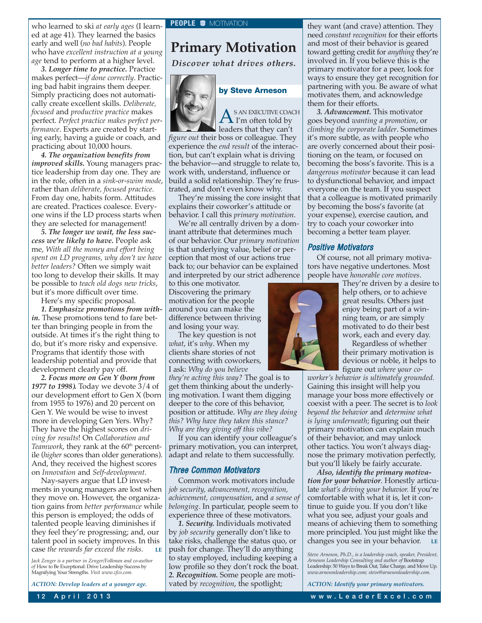<span id="page-12-0"></span>who learned to ski *at early ages* (I learned at age 41). They learned the basics early and well (*no bad habits*). People who have *excellent instruction at a young age* tend to perform at a higher level.

*3. Longer time to practice.* Practice makes perfect—*if done correctly*. Practicing bad habit ingrains them deeper. Simply practicing does not automatically create excellent skills. *Deliberate, focused* and *productive practice* makes perfect. *Perfect practice makes perfect performance*. Experts are created by starting early, having a guide or coach, and practicing about 10,000 hours.

*4. The organization benefits from improved skills.* Young managers practice leadership from day one. They are in the role, often in a *sink-or-swim mode*, rather than *deliberate, focused practice*. From day one, habits form. Attitudes are created. Practices coalesce. Everyone wins if the LD process starts when they are selected for management!

*5. The longer we wait, the less success we're likely to have.* People ask me, *With all the money and effort being spent on LD programs, why don't we have better leaders?* Often we simply wait too long to develop their skills. It may be possible to *teach old dogs new tricks*, but it's more difficult over time.

Here's my specific proposal.

*1. Emphasize promotions from within.* These promotions tend to fare better than bringing people in from the outside. At times it's the right thing to do, but it's more risky and expensive. Programs that identify those with leadership potential and provide that development clearly pay off.

*2. Focus more on Gen Y (born from 1977 to 1998).* Today we devote 3/4 of our development effort to Gen X (born from 1955 to 1976) and 20 percent on Gen Y. We would be wise to invest more in developing Gen Yers. Why? They have the highest scores on *driving for results*! On *Collaboration and Teamwork*, they rank at the 60<sup>th</sup> percentile (*higher* scores than older generations). And, they received the highest scores on *Innovation* and *Self-development*.

Nay-sayers argue that LD investments in young managers are lost when they move on. However, the organization gains from *better performance* while this person is employed; the odds of talented people leaving diminishes if they feel they're progressing; and, our talent pool in society improves. In this case *the rewards far exceed the risks*.

*Jack Zenger is a partner in Zenger/Folkman and co-author of* How to Be Exceptional: Drive Leadership Success by Magnifying Your Strengths. *Visit [www.zfco.com.](http://www.zfco.com)*

*ACTION: Develop leaders at a younger age.*

**Primary Motivation**

*Discover what drives others.*



 $A^{\text{SAN EXECUTE COACH}}$ 

leaders that they can't *figure out* their boss or colleague. They experience the *end result* of the interaction, but can't explain what is driving the behavior—and struggle to relate to, work with, understand, influence or build a solid relationship. They're frustrated, and don't even know why.

They're missing the core insight that explains their coworker's attitude or behavior. I call this *primary motivation*.

We're all centrally driven by a dominant attribute that determines much of our behavior. Our *primary motivation* is that underlying value, belief or perception that most of our actions true back to; our behavior can be explained and interpreted by our strict adherence

to this one motivator. Discovering the primary motivation for the people around you can make the difference between thriving and losing your way.

The key question is not *what*, it's *why*. When my clients share stories of not connecting with coworkers, I ask: *Why do you believe*

*they're acting this way?* The goal is to get them thinking about the underlying motivation. I want them digging deeper to the core of this behavior, position or attitude. *Why are they doing this? Why have they taken this stance? Why are they giving off this vibe?*

If you can identify your colleague's primary motivation, you can interpret, adapt and relate to them successfully.

#### Three Common Motivators

Common work motivators include *job security, advancement, recognition, achievement, compensation*, and *a sense of belonging*. In particular, people seem to experience three of these motivators.

*1. Security.* Individuals motivated by *job security* generally don't like to take risks, challenge the status quo, or push for change. They'll do anything to stay employed, including keeping a low profile so they don't rock the boat. *2. Recognition.* Some people are motivated by *recognition*, the spotlight;

they want (and crave) attention. They need *constant recognition* for their efforts and most of their behavior is geared toward getting credit for *anything* they're involved in. If you believe this is the primary motivator for a peer, look for ways to ensure they get recognition for partnering with you. Be aware of what motivates them, and acknowledge them for their efforts.

*3. Advancement.* This motivator goes beyond *wanting a promotion*, or *climbing the corporate ladder*. Sometimes it's more subtle, as with people who are overly concerned about their positioning on the team, or focused on becoming the boss's favorite. This is a *dangerous motivator* because it can lead to dysfunctional behavior, and impact everyone on the team. If you suspect that a colleague is motivated primarily by becoming the boss's favorite (at your expense), exercise caution, and try to coach your coworker into becoming a better team player.

#### Positive Motivators

Of course, not all primary motivators have negative undertones. Most people have *honorable core motives*.



They're driven by a desire to help others, or to achieve great results. Others just enjoy being part of a winning team, or are simply motivated to do their best work, each and every day.

Regardless of whether their primary motivation is devious or noble, it helps to figure out *where your co-*

*worker's behavior is ultimately grounded.* Gaining this insight will help you manage your boss more effectively or coexist with a peer. The secret is to *look beyond the behavior* and *determine what is lying underneath*; figuring out their primary motivation can explain much of their behavior, and may unlock other tactics. You won't always diagnose the primary motivation perfectly, but you'll likely be fairly accurate.

*Also, identify the primary motivation for your behavior*. Honestly articulate *what's driving your behavior.* If you're comfortable with what it is, let it continue to guide you. If you don't like what you see, adjust your goals and means of achieving them to something more principled. You just might like the changes you see in your behavior. **LE**

*Steve Arneson, Ph.D., is a leadership coach, speaker, President, Arneson Leadership Consulting and author of* Bootstrap Leadership: 50 Ways to Break Out, Take Charge, and Move Up*. [www.arnesonleadership.com;](http://www.arnesonleadership.com) [steve@arnesonleadership.com.](mailto:steve@arnesonleadership.com)*

*ACTION: Identify your primary motivators.*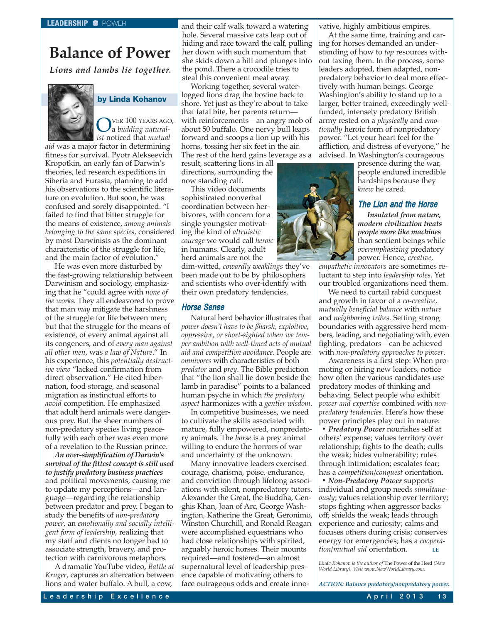## <span id="page-13-0"></span>**Balance of Power**

*Lions and lambs lie together.*



## **by Linda Kohanov**

OVER 100 YEARS AGO, a *budding naturalist* noticed that *mutual*

*aid* was a major factor in determining fitness for survival. Pyotr Alekseevich Kropotkin, an early fan of Darwin's theories, led research expeditions in Siberia and Eurasia, planning to add his observations to the scientific literature on evolution. But soon, he was confused and sorely disappointed. "I failed to find that bitter struggle for the means of existence, *among animals belonging to the same species*, considered by most Darwinists as the dominant characteristic of the struggle for life, and the main factor of evolution."

He was even more disturbed by the fast-growing relationship between Darwinism and sociology, emphasizing that he "could agree with *none of the works*. They all endeavored to prove that man *may* mitigate the harshness of the struggle for life between men; but that the struggle for the means of existence, of every animal against all its congeners, and of *every man against all other men*, was *a law of Nature*." In his experience, this *potentially destructive view* "lacked confirmation from direct observation." He cited hibernation, food storage, and seasonal migration as instinctual efforts to *avoid* competition. He emphasized that adult herd animals were dangerous prey. But the sheer numbers of non-predatory species living peacefully with each other was even more of a revelation to the Russian prince.

*An over-simplification of Darwin's survival of the fittest concept is still used to justify predatory business practices* and political movements, causing me to update my perceptions—and language—regarding the relationship between predator and prey. I began to study the benefits of *non-predatory power*, an *emotionally and socially intelligent form of leadership*, realizing that my staff and clients no longer had to associate strength, bravery, and protection with carnivorous metaphors.

A dramatic YouTube video, *Battle at Kruger*, captures an altercation between lions and water buffalo. A bull, a cow,

and their calf walk toward a watering hole. Several massive cats leap out of hiding and race toward the calf, pulling her down with such momentum that she skids down a hill and plunges into the pond. There a crocodile tries to steal this convenient meal away.

Working together, several waterlogged lions drag the bovine back to shore. Yet just as they're about to take that fatal bite, her parents return with reinforcements—an angry mob of about 50 buffalo. One nervy bull leaps forward and scoops a lion up with his horns, tossing her six feet in the air. The rest of the herd gains leverage as a

result, scattering lions in all directions, surrounding the now standing calf.

This video documents sophisticated nonverbal coordination between herbivores, with concern for a single youngster motivating the kind of *altruistic courage* we would call *heroic* in humans. Clearly, adult herd animals are not the

dim-witted, *cowardly weaklings* they've been made out to be by philosophers and scientists who over-identify with their own predatory tendencies.

## Horse Sense

Natural herd behavior illustrates that *power doesn't have to be ßharsh, exploitive, oppressive, or short-sighted when we temper ambition with well-timed acts of mutual aid and competition avoidance*. People are *omnivores* with characteristics of both *predator* and *prey*. The Bible prediction that "the lion shall lie down beside the lamb in paradise" points to a balanced human psyche in which *the predatory aspect* harmonizes with a *gentler wisdom*.

In competitive businesses, we need to cultivate the skills associated with mature, fully empowered, nonpredatory animals. The *horse* is a prey animal willing to endure the horrors of war and uncertainty of the unknown.

Many innovative leaders exercised courage, charisma, poise, endurance, and conviction through lifelong associations with silent, nonpredatory tutors. Alexander the Great, the Buddha, Genghis Khan, Joan of Arc, George Washington, Katherine the Great, Geronimo, Winston Churchill, and Ronald Reagan were accomplished equestrians who had close relationships with spirited, arguably heroic horses. Their mounts required—and fostered—an almost supernatural level of leadership presence capable of motivating others to face outrageous odds and create innovative, highly ambitious empires.

At the same time, training and caring for horses demanded an understanding of how to *tap* resources without taxing them. In the process, some leaders adopted, then adapted, nonpredatory behavior to deal more effectively with human beings. George Washington's ability to stand up to a larger, better trained, exceedingly wellfunded, intensely predatory British army rested on a *physically* and *emotionally* heroic form of nonpredatory power. "Let your heart feel for the affliction, and distress of everyone," he advised. In Washington's courageous

presence during the war, people endured incredible hardships because they *knew* he cared.

#### The Lion and the Horse

*Insulated from nature, modern civilization treats people more like machines* than sentient beings while *overemphasizing* predatory power. Hence, *creative,*

*empathetic innovators* are sometimes reluctant to step into *leadership roles*. Yet our troubled organizations need them.

We need to curtail rabid conquest and growth in favor of a *co-creative, mutually beneficial balance* with *nature* and *neighboring tribes.* Setting strong boundaries with aggressive herd members, leading, and negotiating with, even fighting, predators—can be achieved with *non-predatory approaches to power*.

Awareness is a first step: When promoting or hiring new leaders, notice how often the various candidates use predatory modes of thinking and behaving. Select people who exhibit *power and expertise* combined with *nonpredatory tendencies*. Here's how these power principles play out in nature:

*• Predatory Power* nourishes self at others' expense; values territory over relationship; fights to the death; culls the weak; hides vulnerability; rules through intimidation; escalates fear; has a *competition/conquest* orientation.

*• Non-Predatory Power* supports individual and group needs *simultaneously*; values relationship over territory; stops fighting when aggressor backs off; shields the weak; leads through experience and curiosity; calms and focuses others during crisis; conserves energy for emergencies; has a *cooperation/mutual aid* orientation. **LE**

*Linda Kohanov is the author of* The Power of the Herd *(New World Library). Visit [www.NewWorldLibrary.com.](http://www.NewWorldLibrary.com)*

*ACTION: Balance predatory/nonpredatory power.*

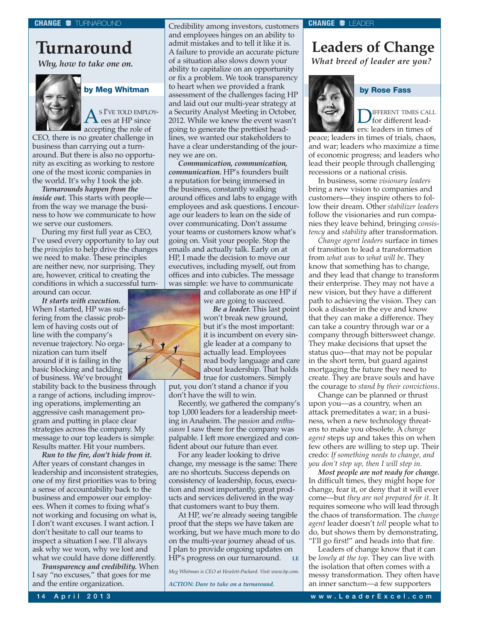## <span id="page-14-0"></span>**Turnaround**

*Why, how to take one on.*



 $A^{\text{s}}{}^{\text{I'VE TOLD EMPLOY-}}$ accepting the role of

CEO, there is no greater challenge in business than carrying out a turnaround. But there is also no opportunity as exciting as working to restore one of the most iconic companies in the world. It's why I took the job.

*Turnarounds happen from the inside out.* This starts with peoplefrom the way we manage the business to how we communicate to how we serve our customers.

During my first full year as CEO, I've used every opportunity to lay out the *principles* to help drive the changes we need to make. These principles are neither new, nor surprising. They are, however, critical to creating the conditions in which a successful turnaround can occur.

*It starts with execution.* When I started, HP was suffering from the classic problem of having costs out of line with the company's revenue trajectory. No organization can turn itself around if it is failing in the basic blocking and tackling of business. We've brought

stability back to the business through a range of actions, including improving operations, implementing an aggressive cash management program and putting in place clear strategies across the company. My message to our top leaders is simple: Results matter. Hit your numbers.

*Run to the fire, don't hide from it.* After years of constant changes in leadership and inconsistent strategies, one of my first priorities was to bring a sense of accountability back to the business and empower our employees. When it comes to fixing what's not working and focusing on what is, I don't want excuses. I want action. I don't hesitate to call our teams to inspect a situation I see. I'll always ask why we won, why we lost and what we could have done differently.

*Transparency and credibility.* When I say "no excuses," that goes for me and the entire organization.

Credibility among investors, customers and employees hinges on an ability to admit mistakes and to tell it like it is. A failure to provide an accurate picture of a situation also slows down your ability to capitalize on an opportunity or fix a problem. We took transparency to heart when we provided a frank **by Meg Whitman by Rose Fass**assessment of the challenges facing HP and laid out our multi-year strategy at a Security Analyst Meeting in October, 2012. While we knew the event wasn't going to generate the prettiest headlines, we wanted our stakeholders to have a clear understanding of the journey we are on.

*Communication, communication, communication.* HP's founders built a reputation for being immersed in the business, constantly walking around offices and labs to engage with employees and ask questions. I encourage our leaders to lean on the side of over communicating. Don't assume your teams or customers know what's going on. Visit your people. Stop the emails and actually talk. Early on at HP, I made the decision to move our executives, including myself, out from offices and into cubicles. The message was simple: we have to communicate

and collaborate as one HP if we are going to succeed.



*Be a leader.* This last point won't break new ground, but it's the most important: it is incumbent on every single leader at a company to actually lead. Employees read body language and care about leadership. That holds true for customers. Simply

put, you don't stand a chance if you don't have the will to win.

Recently, we gathered the company's top 1,000 leaders for a leadership meeting in Anaheim. The *passion* and *enthusiasm* I saw there for the company was palpable. I left more energized and confident about our future than ever.

For any leader looking to drive change, my message is the same: There are no shortcuts. Success depends on consistency of leadership, focus, execution and most importantly, great products and services delivered in the way that customers want to buy them.

At HP, we're already seeing tangible proof that the steps we have taken are working, but we have much more to do on the multi-year journey ahead of us. I plan to provide ongoing updates on HP's progress on our turnaround. **LE**

*Meg Whitman is CEO at Hewlett-Packard. Visit [www.hp.com.](http://www.hp.com)*

*ACTION: Dare to take on a turnaround.*

## **Leaders of Change** *What breed of leader are you?*

**D**IFFERENT TIMES CALL ers: leaders in times of

peace; leaders in times of trials, chaos, and war; leaders who maximize a time of economic progress; and leaders who lead their people through challenging recessions or a national crisis.

In business, some *visionary leaders* bring a new vision to companies and customers—they inspire others to follow their dream. Other *stabilizer leaders* follow the visionaries and run companies they leave behind, bringing *consistency* and *stability* after transformation.

*Change agent leaders* surface in times of transition to lead a transformation from *what was* to *what will be*. They know that something has to change, and they lead that change to transform their enterprise. They may not have a new vision, but they have a different path to achieving the vision. They can look a disaster in the eye and know that they can make a difference. They can take a country through war or a company through bittersweet change. They make decisions that upset the status quo—that may not be popular in the short term, but guard against mortgaging the future they need to create. They are brave souls and have the courage to *stand by their convictions*.

Change can be planned or thrust upon you—as a country, when an attack premeditates a war; in a business, when a new technology threatens to make you obsolete. A *change agent* steps up and takes this on when few others are willing to step up. Their credo: *If something needs to change, and you don't step up, then I will step in.*

*Most people are not ready for change.* In difficult times, they might hope for change, fear it, or deny that it will ever come—but *they are not prepared for it.* It requires someone who will lead through the chaos of transformation. The *change agent* leader doesn't *tell* people what to do, but shows them by demonstrating, "I'll go first!" and heads into that fire.

Leaders of change know that it can be *lonely at the top*. They can live with the isolation that often comes with a messy transformation. They often have an inner sanctum—a few supporters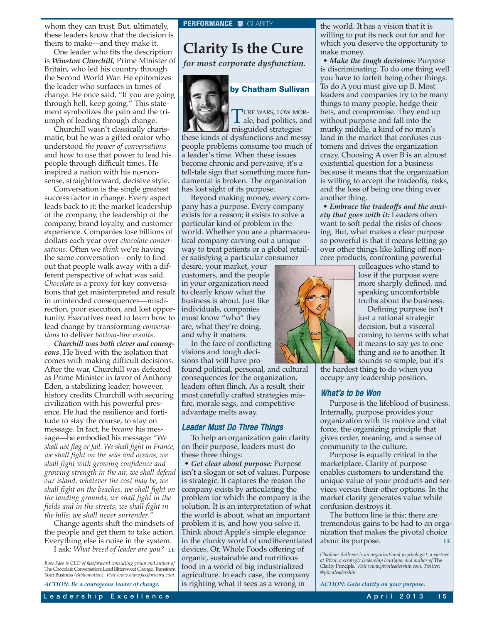<span id="page-15-0"></span>whom they can trust. But, ultimately, **PERFORMANCE C** CLARITY these leaders know that the decision is theirs to make—and they make it.

One leader who fits the description is *Winston Churchill*, Prime Minister of Britain, who led his country through the Second World War. He epitomizes the leader who surfaces in times of change. He once said, "If you are going through hell, keep going." This statement symbolizes the pain and the triumph of leading through change.

Churchill wasn't classically charismatic, but he was a gifted orator who understood *the power of conversations* and how to use that power to lead his people through difficult times. He inspired a nation with his no-nonsense, straightforward, decisive style.

Conversation is the single greatest success factor in change. Every aspect leads back to it: the market leadership of the company, the leadership of the company, brand loyalty, and customer experience. Companies lose billions of dollars each year over *chocolate conversations*. Often we *think* we're having the same conversation—only to find out that people walk away with a different perspective of what was said. *Chocolate* is a proxy for key conversations that get misinterpreted and result in unintended consequences—misdirection, poor execution, and lost opportunity. Executives need to learn how to lead change by transforming *conversations* to deliver *bottom-line results*.

*Churchill was both clever and courageous*. He lived with the isolation that comes with making difficult decisions. After the war, Churchill was defeated as Prime Minister in favor of Anthony Eden, a stabilizing leader; however, history credits Churchill with securing civilization with his powerful presence. He had the resilience and fortitude to stay the course, to stay on message. In fact, he *became* his message—he embodied his message: *"We shall not flag or fail. We shall fight in France, we shall fight on the seas and oceans, we shall fight with growing confidence and growing strength in the air, we shall defend our island, whatever the cost may be, we shall fight on the beaches, we shall fight on the landing grounds, we shall fight in the fields and in the streets, we shall fight in the hills; we shall never surrender."*

Change agents shift the mindsets of the people and get them to take action. Everything else is noise in the system.

I ask: *What breed of leader are you?* **LE**

*ACTION: Be a courageous leader of change.*

## **Clarity Is the Cure**

*for most corporate dysfunction.*



## **by Chatham Sullivan**

TURF WARS, LOW MOR-<br>ale, bad politics, and misguided strategies:

these kinds of dysfunctions and messy people problems consume too much of a leader's time. When these issues become chronic and pervasive, it's a tell-tale sign that something more fundamental is broken. The organization has lost sight of its purpose.

Beyond making money, every company has a purpose. Every company exists for a reason; it exists to solve a particular kind of problem in the world. Whether you are a pharmaceutical company carving out a unique way to treat patients or a global retailer satisfying a particular consumer

desire, your market, your customers, and the people in your organization need to clearly know what the business is about. Just like individuals, companies must know "who" they are, what they're doing, and why it matters.

In the face of conflicting visions and tough decisions that will have pro-

found political, personal, and cultural consequences for the organization, leaders often flinch. As a result, their most carefully crafted strategies misfire, morale sags, and competitive advantage melts away.

## Leader Must Do Three Things

To help an organization gain clarity on their purpose, leaders must do these three things:

• *Get clear about purpose:* Purpose isn't a slogan or set of values. Purpose is strategic. It captures the reason the company exists by articulating the problem for which the company is the solution. It is an interpretation of what the world is about, what an important problem it is, and how you solve it. Think about Apple's simple elegance in the clunky world of undifferentiated devices. Or, Whole Foods offering of organic, sustainable and nutritious food in a world of big industrialized agriculture. In each case, the company is righting what it sees as a wrong in

the world. It has a vision that it is willing to put its neck out for and for which you deserve the opportunity to make money.

• *Make the tough decisions:* Purpose is discriminating. To do one thing well you have to forfeit being other things. To do A you must give up B. Most leaders and companies try to be many things to many people, hedge their bets, and compromise. They end up without purpose and fall into the murky middle, a kind of no man's land in the market that confuses customers and drives the organization crazy. Choosing A over B is an almost existential question for a business because it means that the organization is willing to accept the tradeoffs, risks, and the loss of being one thing over another thing.

• *Embrace the tradeoffs and the anxiety that goes with it:* Leaders often want to soft pedal the risks of choosing. But, what makes a clear purpose so powerful is that it means letting go over other things like killing off noncore products, confronting powerful

> colleagues who stand to lose if the purpose were more sharply defined, and speaking uncomfortable truths about the business.

Defining purpose isn't just a rational strategic decision, but a visceral coming to terms with what it means to say *yes* to one thing and *no* to another. It sounds so simple, but it's

the hardest thing to do when you occupy any leadership position.

## What's to be Won

Purpose is the lifeblood of business. Internally, purpose provides your organization with its motive and vital force, the organizing principle that gives order, meaning, and a sense of community to the culture.

Purpose is equally critical in the marketplace. Clarity of purpose enables customers to understand the unique value of your products and services versus their other options. In the market clarity generates value while confusion destroys it.

The bottom line is this: there are tremendous gains to be had to an organization that makes the pivotal choice about its purpose.

*Chatham Sullivan is an organizational psychologist, a partner at Pivot, a strategic leadership boutique, and author of* The Clarity Principle*. Visit [www.pivotleadership.com,](http://www.pivotleadership.com) Twitter: @pivotleadership.*

*ACTION: Gain clarity on your purpose.*

*Rose Fass is CEO of fassforward consulting group and author of* The Chocolate Conversation: Lead Bittersweet Change, Transform Your Business *(Bibliomotion). Visit [www.www.fassforward.com.](http://www.www.fassforward.com)*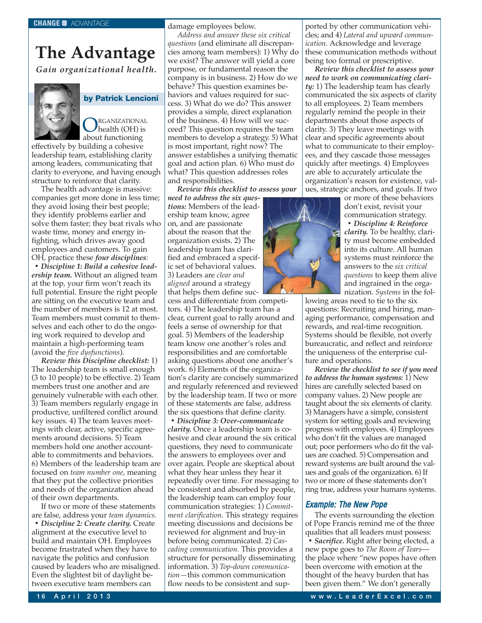# <span id="page-16-0"></span>**The Advantage**

*Gain organizational health.*



**by Patrick Lencioni**

**ORGANIZATIONAL**<br>health (OH) is about functioning

effectively by building a cohesive leadership team, establishing clarity among leaders, communicating that clarity to everyone, and having enough structure to reinforce that clarity.

The health advantage is massive: companies get more done in less time; they avoid losing their best people; they identify problems earlier and solve them faster; they beat rivals who waste time, money and energy infighting, which drives away good employees and customers. To gain OH, practice these *four disciplines*:

*• Discipline 1: Build a cohesive leadership team.* Without an aligned team at the top, your firm won't reach its full potential. Ensure the right people are sitting on the executive team and the number of members is 12 at most. Team members must commit to themselves and each other to do the ongoing work required to develop and maintain a high-performing team (avoid the *five dysfunctions*).

*Review this Discipline checklist:* 1) The leadership team is small enough (3 to 10 people) to be effective. 2) Team members trust one another and are genuinely vulnerable with each other. 3) Team members regularly engage in productive, unfiltered conflict around key issues. 4) The team leaves meetings with clear, active, specific agreements around decisions. 5) Team members hold one another accountable to commitments and behaviors. 6) Members of the leadership team are focused on *team number one*, meaning that they put the collective priorities and needs of the organization ahead of their own departments.

If two or more of these statements are false, address your *team dynamics. • Discipline 2: Create clarity.* Create alignment at the executive level to build and maintain OH. Employees become frustrated when they have to navigate the politics and confusion caused by leaders who are misaligned. Even the slightest bit of daylight between executive team members can

damage employees below.

*Address and answer these six critical questions* (and eliminate all discrepancies among team members): 1) Why do we exist? The answer will yield a core purpose, or fundamental reason the company is in business. 2) How do we behave? This question examines behaviors and values required for success. 3) What do we do? This answer provides a simple, direct explanation of the business. 4) How will we succeed? This question requires the team members to develop a strategy. 5) What is most important, right now? The answer establishes a unifying thematic goal and action plan. 6) Who must do what? This question addresses roles and responsibilities.

*Review this checklist to assess your*

*need to address the six questions:* Members of the leadership team know, agree on, and are passionate about the reason that the organization exists. 2) The leadership team has clarified and embraced a specific set of behavioral values. 3) Leaders are *clear and aligned* around a strategy that helps them define suc-

cess and differentiate from competitors. 4) The leadership team has a clear, current goal to rally around and feels a sense of ownership for that goal. 5) Members of the leadership team know one another's roles and responsibilities and are comfortable asking questions about one another's work. 6) Elements of the organization's clarity are concisely summarized and regularly referenced and reviewed by the leadership team. If two or more of these statements are false, address the six questions that define clarity.

*• Discipline 3: Over-communicate clarity.* Once a leadership team is cohesive and clear around the six critical questions, they need to communicate the answers to employees over and over again. People are skeptical about what they hear unless they hear it repeatedly over time. For messaging to be consistent and absorbed by people, the leadership team can employ four communication strategies: 1) *Commitment clarification.* This strategy requires meeting discussions and decisions be reviewed for alignment and buy-in before being communicated. 2) *Cascading communication.* This provides a structure for personally disseminating information. 3) *Top-down communication—*this common communication flow needs to be consistent and supported by other communication vehicles; and 4) *Lateral and upward communication.* Acknowledge and leverage these communication methods without being too formal or prescriptive.

*Review this checklist to assess your need to work on communicating clarity:* 1) The leadership team has clearly communicated the six aspects of clarity to all employees. 2) Team members regularly remind the people in their departments about those aspects of clarity. 3) They leave meetings with clear and specific agreements about what to communicate to their employees, and they cascade those messages quickly after meetings. 4) Employees are able to accurately articulate the organization's reason for existence, values, strategic anchors, and goals. If two

> or more of these behaviors don't exist, revisit your communication strategy.

*• Discipline 4: Reinforce clarity.* To be healthy, clarity must become embedded into its culture. All human systems must reinforce the answers to the *six critical questions* to keep them alive and ingrained in the organization. *Systems* in the fol-

lowing areas need to tie to the six questions: Recruiting and hiring, managing performance, compensation and rewards, and real-time recognition. Systems should be flexible, not overly bureaucratic, and reflect and reinforce the uniqueness of the enterprise culture and operations.

*Review the checklist to see if you need to address the human systems:* 1) New hires are carefully selected based on company values. 2) New people are taught about the six elements of clarity. 3) Managers have a simple, consistent system for setting goals and reviewing progress with employees. 4) Employees who don't fit the values are managed out; poor performers who do fit the values are coached. 5) Compensation and reward systems are built around the values and goals of the organization. 6) If two or more of these statements don't ring true, address your humans systems.

## Example: The New Pope

The events surrounding the election of Pope Francis remind me of the three qualities that all leaders must possess:

*• Sacrifice.* Right after being elected, a new pope goes to *The Room of Tears* the place where "new popes have often been overcome with emotion at the thought of the heavy burden that has been given them." We don't generally

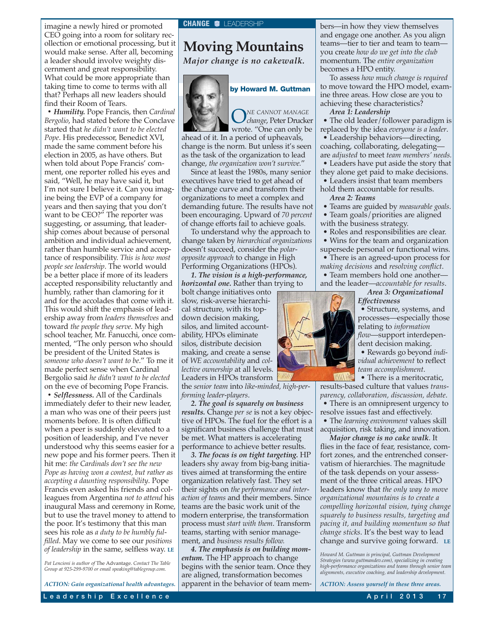<span id="page-17-0"></span>imagine a newly hired or promoted **CHANGE C**LEADERSHIP CEO going into a room for solitary recollection or emotional processing, but it would make sense. After all, becoming a leader should involve weighty discernment and great responsibility. What could be more appropriate than taking time to come to terms with all that? Perhaps all new leaders should find their Room of Tears.

*• Humility.* Pope Francis, then *Cardinal Bergolio*, had stated before the Conclave started that *he didn't want to be elected Pope*. His predecessor, Benedict XVI, made the same comment before his election in 2005, as have others. But when told about Pope Francis' comment, one reporter rolled his eyes and said, "Well, he may have said it, but I'm not sure I believe it. Can you imagine being the EVP of a company for years and then saying that you don't want to be CEO?" The reporter was suggesting, or assuming, that leadership comes about because of personal ambition and individual achievement, rather than humble service and acceptance of responsibility. *This is how most people see leadership*. The world would be a better place if more of its leaders accepted responsibility reluctantly and humbly, rather than clamoring for it and for the accolades that come with it. This would shift the emphasis of leadership away from *leaders themselves* and toward *the people they serve*. My high school teacher, Mr. Fanucchi, once commented, "The only person who should be president of the United States is *someone who doesn't want to be*." To me it made perfect sense when Cardinal Bergolio said *he didn't want to be elected* on the eve of becoming Pope Francis.

*• Selflessness.* All of the Cardinals immediately defer to their new leader, a man who was one of their peers just moments before. It is often difficult when a peer is suddenly elevated to a position of leadership, and I've never understood why this seems easier for a new pope and his former peers. Then it hit me: *the Cardinals don't see the new Pope as having won a contest, but rather as accepting a daunting responsibility*. Pope Francis even asked his friends and colleagues from Argentina *not to attend* his inaugural Mass and ceremony in Rome, but to use the travel money to attend to the poor. It's testimony that this man sees his role as *a duty to be humbly fulfilled*. May we come to see our *positions of leadership* in the same, selfless way. **LE**

*Pat Lencioni is author of* The Advantage. *Contact The Table Group at 925-299-9700 or email [speaking@tablegroup.com.](mailto:speaking@tablegroup.com)*

*ACTION: Gain organizational health advantages.*

# **Moving Mountains**

*Major change is no cakewalk.*



**by Howard M. Guttman**

O*NE CANNOT MANAGE change*, Peter Drucker wrote. "One can only be

ahead of it. In a period of upheavals, change is the norm. But unless it's seen as the task of the organization to lead change, *the organization won't survive.*"

Since at least the 1980s, many senior executives have tried to get ahead of the change curve and transform their organizations to meet a complex and demanding future. The results have not been encouraging. Upward of *70 percent* of change efforts fail to achieve goals.

To understand why the approach to change taken by *hierarchical organizations* doesn't succeed, consider the *polaropposite approach* to change in High Performing Organizations (HPOs).

*1. The vision is a high-performance, horizontal one.* Rather than trying to

bolt change initiatives onto slow, risk-averse hierarchical structure, with its topdown decision making, silos, and limited accountability, HPOs eliminate silos, distribute decision making, and create a sense of *WE accountability* and *collective ownership* at all levels. Leaders in HPOs transform the *senior team* into *like-minded, high-per-*

*forming leader-players*.

*2. The goal is squarely on business results.* Change *per se* is not a key objective of HPOs. The fuel for the effort is a significant business challenge that must be met. What matters is accelerating performance to achieve better results.

*3. The focus is on tight targeting.* HP leaders shy away from big-bang initiatives aimed at transforming the entire organization relatively fast. They set their sights on *the performance and interaction of teams* and their members. Since teams are the basic work unit of the modern enterprise, the transformation process must *start with them*. Transform teams, starting with senior management, and *business results follow.*

*4. The emphasis is on building momentum.* The HP approach to change begins with the senior team. Once they are aligned, transformation becomes apparent in the behavior of team members—in how they view themselves and engage one another. As you align teams—tier to tier and team to team you create *how do we get into the club* momentum. The *entire organization* becomes a HPO entity.

To assess *how much change is required* to move toward the HPO model, examine three areas. How close are you to achieving these characteristics?

#### *Area 1: Leadership*

• The old leader/follower paradigm is replaced by the idea *everyone is a leader*.

• Leadership behaviors—directing, coaching, collaborating, delegating are *adjusted* to meet *team members' needs.*

- Leaders have put aside the story that they alone get paid to make decisions.
- Leaders insist that team members hold them accountable for results.
	- *Area 2: Teams*
- Teams are guided by *measurable goals*. • Team goals/priorities are aligned
- with the business strategy.
- Roles and responsibilities are clear.

• Wins for the team and organization supersede personal or functional wins.

• There is an agreed-upon process for *making decisions* and *resolving conflict*.

• Team members hold one another and the leader—*accountable for results*.

*Area 3: Organizational*

*Effectiveness*

• Structure, systems, and processes—especially those relating to *information flow*—support interdependent decision making.

• Rewards go beyond *individual achievement* to reflect *team accomplishment*.

• There is a meritocratic. results-based culture that values *transparency, collaboration, discussion, debate*.

• There is an omnipresent urgency to resolve issues fast and effectively.

• The *learning environment* values skill acquisition, risk taking, and innovation.

*Major change is no cake walk*. It flies in the face of fear, resistance, comfort zones, and the entrenched conservatism of hierarchies. The magnitude of the task depends on your assessment of the three critical areas. HPO leaders know that *the only way to move organizational mountains is to create a compelling horizontal vision, tying change squarely to business results, targeting and pacing it, and building momentum so that change sticks*. It's the best way to lead change and survive going forward. **LE**

*Howard M. Guttman is principal, Guttman Development Strategies ([www.guttmandev.com](http://www.guttmandev.com)), specializing in creating high-performance organizations and teams through senior team alignments, executive coaching, and leadership development.*

*ACTION: Assess yourself in these three areas.*

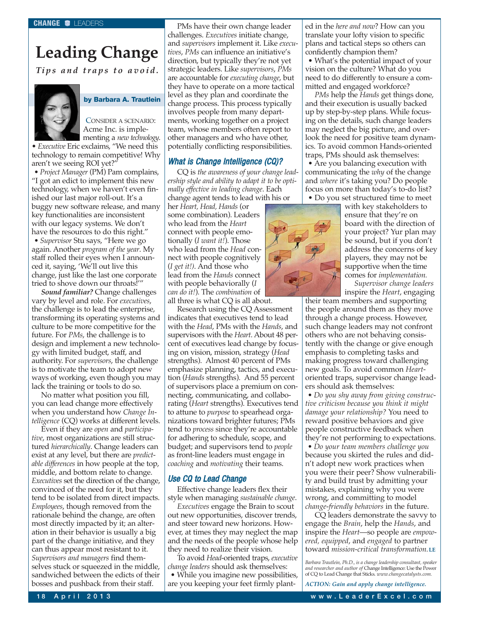# <span id="page-18-0"></span>**Leading Change**

*Tips and traps to avoid.*



## **by Barbara A. Trautlein**

CONSIDER A SCENARIO: Acme Inc. is implementing a *new technology*.

• *Executive* Eric exclaims, "We need this technology to remain competitive! Why aren't we seeing ROI yet?"

*• Project Manager* (PM) Pam complains, "I got an edict to implement this new technology, when we haven't even finished our last major roll-out. It's a buggy new software release, and many key functionalities are inconsistent with our legacy systems. We don't have the resources to do this right." *• Supervisor* Stu says, "Here we go again. Another *program of the year*. My staff rolled their eyes when I announced it, saying, 'We'll out live this change, just like the last one corporate tried to shove down our throats!'"

*Sound familiar?* Change challenges vary by level and role. For *executives*, the challenge is to lead the enterprise, transforming its operating systems and culture to be more competitive for the future. For *PMs*, the challenge is to design and implement a new technology with limited budget, staff, and authority. For *supervisors*, the challenge is to motivate the team to adopt new ways of working, even though you may lack the training or tools to do so.

No matter what position you fill, you can lead change more effectively when you understand how *Change Intelligence* (CQ) works at different levels.

Even if they are *open* and *participative*, most organizations are still structured *hierarchically*. Change leaders can exist at any level, but there are *predictable differences* in how people at the top, middle, and bottom relate to change. *Executives* set the direction of the change, convinced of the need for it, but they tend to be isolated from direct impacts. *Employees*, though removed from the rationale behind the change, are often most directly impacted by it; an alteration in their behavior is usually a big part of the change initiative, and they can thus appear most resistant to it. *Supervisors and managers* find themselves stuck or squeezed in the middle, sandwiched between the edicts of their bosses and pushback from their staff.

PMs have their own change leader challenges. *Executives* initiate change, and *supervisors* implement it. Like *executives*, *PMs* can influence an initiative's direction, but typically they're not yet strategic leaders. Like *supervisors*, *PMs* are accountable for *executing change*, but they have to operate on a more tactical level as they plan and coordinate the change process. This process typically involves people from many departments, working together on a project team, whose members often report to other managers and who have other, potentially conflicting responsibilities.

## What is Change Intelligence (CQ)?

CQ is *the awareness of your change leadership style and ability to adapt it to be optimally effective in leading change*. Each change agent tends to lead with his or

her *Heart, Head, Hands* (or some combination). Leaders who lead from the *Heart* connect with people emotionally (*I want it!*). Those who lead from the *Head* connect with people cognitively (*I get it!)*. And those who lead from the *Hands* connect with people behaviorally (*I can do it!*). The *combination* of all three is what CQ is all about.

Research using the CQ Assessment indicates that executives tend to lead with the *Head*, PMs with the *Hands*, and supervisors with the *Heart*. About 48 percent of executives lead change by focusing on vision, mission, strategy (*Head* strengths). Almost 40 percent of PMs emphasize planning, tactics, and execution (*Hands* strengths). And 55 percent of supervisors place a premium on connecting, communicating, and collaborating (*Heart* strengths). Executives tend to attune to *purpose* to spearhead organizations toward brighter futures; PMs tend to *process* since they're accountable for adhering to schedule, scope, and budget; and supervisors tend to *people* as front-line leaders must engage in *coaching* and *motivating* their teams.

## Use CQ to Lead Change

Effective change leaders flex their style when managing *sustainable change*.

*Executives* engage the Brain to scout out new opportunities, discover trends, and steer toward new horizons. However, at times they may neglect the map and the needs of the people whose help they need to realize their vision.

To avoid *Head*-oriented traps, *executive change leaders* should ask themselves: • While you imagine new possibilities, are you keeping your feet firmly planted in the *here and now*? How can you translate your lofty vision to specific plans and tactical steps so others can confidently champion them?

• What's the potential impact of your vision on the culture? What do you need to do differently to ensure a committed and engaged workforce?

*PMs* help the *Hands* get things done, and their execution is usually backed up by step-by-step plans. While focusing on the details, such change leaders may neglect the big picture, and overlook the need for positive team dynamics. To avoid common Hands-oriented traps, PMs should ask themselves:

• Are you balancing execution with communicating the *why* of the change and *where* it's taking you? Do people focus on more than today's to-do list? • Do you set structured time to meet



with key stakeholders to ensure that they're on board with the direction of your project? Yur plan may be sound, but if you don't address the concerns of key players, they may not be supportive when the time comes for *implementation.*

*Supervisor change leaders* inspire the *Heart*, engaging

their team members and supporting the people around them as they move through a change process. However, such change leaders may not confront others who are not behaving consistently with the change or give enough emphasis to completing tasks and making progress toward challenging new goals. To avoid common *Heart*oriented traps, supervisor change leaders should ask themselves:

*• Do you shy away from giving constructive criticism because you think it might damage your relationship?* You need to reward positive behaviors and give people constructive feedback when they're not performing to expectations.

*• Do your team members challenge you* because you skirted the rules and didn't adopt new work practices when you were their peer? Show vulnerability and build trust by admitting your mistakes, explaining why you were wrong, and committing to model *change-friendly behaviors* in the future.

CQ leaders demonstrate the savvy to engage the *Brain*, help the *Hands*, and inspire the *Heart*—so people are *empowered, equipped*, and *engaged* to partner toward *mission-critical transformation.***LE**

*Barbara Trautlein, Ph.D., is a change leadership consultant, speaker and researcher and author of* Change Intelligence: Use the Power of CQ to Lead Change that Sticks. *[www.changecatalysts.com.](http://www.changecatalysts.com)*

*ACTION: Gain and apply change intelligence.*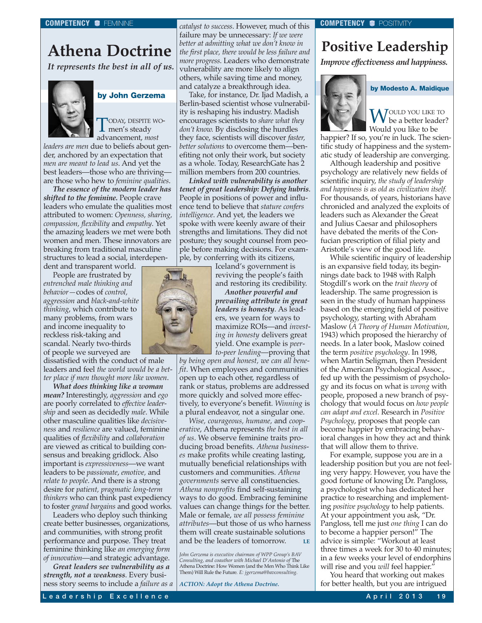## <span id="page-19-0"></span>**Athena Doctrine**

*It represents the best in all of us.*



## **by John Gerzema**

TODAY, DESPITE WOmen's steady advancement, *most*

*leaders are men* due to beliefs about gender, anchored by an expectation that *men are meant to lead us*. And yet the best leaders—those who are thriving are those who hew to *feminine qualities*.

*The essence of the modern leader has shifted to the feminine.* People crave leaders who emulate the qualities most attributed to women: *Openness, sharing, compassion, flexibility* and *empathy*. Yet the amazing leaders we met were both women and men. These innovators are breaking from traditional masculine structures to lead a social, interdepen-

dent and transparent world.

People are frustrated by *entrenched male thinking and behavior—*codes of *control, aggression* and *black-and-white thinking*, which contribute to many problems, from wars and income inequality to reckless risk-taking and scandal. Nearly two-thirds of people we surveyed are

dissatisfied with the conduct of male leaders and feel *the world would be a better place if men thought more like women*.

*What does thinking like a woman mean?* Interestingly, *aggression* and *ego* are poorly correlated to *effective leadership* and seen as decidedly *male*. While other masculine qualities like *decisiveness* and *resilience* are valued, feminine qualities of *flexibility* and *collaboration* are viewed as critical to building consensus and breaking gridlock. Also important is *expressiveness*—we want leaders to be *passionate*, *emotive,* and *relate to people*. And there is a strong desire for *patient, pragmatic long-term thinkers* who can think past expediency to foster *grand bargains* and good works.

Leaders who deploy such thinking create better businesses, organizations, and communities, with strong profit performance and purpose. They treat feminine thinking like *an emerging form of innovation*—and strategic advantage.

*Great leaders see vulnerability as a strength, not a weakness*. Every business story seems to include a *failure as a* *catalyst to success*. However, much of this failure may be unnecessary: *If we were better at admitting what we don't know in the first place, there would be less failure and more progress*. Leaders who demonstrate vulnerability are more likely to align others, while saving time and money, and catalyze a breakthrough idea.

Take, for instance, Dr. Ijad Madish, a Berlin-based scientist whose vulnerability is reshaping his industry. Madish encourages scientists to *share what they don't know.* By disclosing the hurdles they face, scientists will discover *faster, better solutions* to overcome them—benefiting not only their work, but society as a whole. Today, ResearchGate has 2 million members from 200 countries.

*Linked with vulnerability is another tenet of great leadership: Defying hubris*. People in positions of power and influence tend to believe that *stature confers intelligence*. And yet, the leaders we spoke with were keenly aware of their strengths and limitations. They did not posture; they sought counsel from people before making decisions. For example, by conferring with its citizens,

> Iceland's government is reviving the people's faith and restoring its credibility.

*Another powerful and prevailing attribute in great leaders is honesty*. As leaders, we yearn for ways to maximize ROIs—and *investing in honesty* delivers great yield. One example is *peerto-peer lending*—proving that

*by being open and honest, we can all benefit*. When employees and communities open up to each other, regardless of rank or status, problems are addressed more quickly and solved more effectively, to everyone's benefit. *Winning* is a plural endeavor, not a singular one.

*Wise, courageous, humane,* and *cooperative*, Athena represents *the best in all of us*. We observe feminine traits producing broad benefits. *Athena businesses* make profits while creating lasting, mutually beneficial relationships with customers and communities. *Athena governments* serve all constituencies. *Athena nonprofits* find self-sustaining ways to do good. Embracing feminine values can change things for the better. Male or female, *we all possess feminine attributes*—but those of us who harness them will create sustainable solutions and be the leaders of tomorrow. **LE**

*John Gerzema is executive chairman of WPP Group's BAV Consulting, and coauthor with Michael D'Antonio of* The Athena Doctrine: How Women (and the Men Who Think Like Them) Will Rule the Future*. E: jgerzema@bavconsulting.*

*ACTION: Adopt the Athena Doctrine.*

#### **COMPETENCY & POSITIVITY**

## **Positive Leadership**

*Improve effectiveness and happiness.*



**W**OULD YOU LIKE TO<br>Would assed like to be Would you like to be

**by Modesto A. Maidique**

happier? If so, you're in luck. The scientific study of happiness and the systematic study of leadership are converging.

Although leadership and positive psychology are relatively new fields of scientific inquiry, *the study of leadership and happiness is as old as civilization itself.* For thousands, of years, historians have chronicled and analyzed the exploits of leaders such as Alexander the Great and Julius Caesar and philosophers have debated the merits of the Confucian prescription of filial piety and Aristotle's view of the good life.

While scientific inquiry of leadership is an expansive field today, its beginnings date back to 1948 with Ralph Stogdill's work on the *trait theory* of leadership. The same progression is seen in the study of human happiness based on the emerging field of positive psychology, starting with Abraham Maslow (*A Theory of Human Motivation*, 1943) which proposed the hierarchy of needs. In a later book, Maslow coined the term *positive psychology*. In 1998, when Martin Seligman, then President of the American Psychological Assoc., fed up with the pessimism of psychology and its focus on what is *wrong* with people, proposed a new branch of psychology that would focus on *how people can adapt and excel*. Research in *Positive Psychology*, proposes that people can become happier by embracing behavioral changes in how they act and think that will allow them to thrive.

For example, suppose you are in a leadership position but you are not feeling very happy. However, you have the good fortune of knowing Dr. Pangloss, a psychologist who has dedicated her practice to researching and implementing *positive psychology* to help patients. At your appointment you ask, "Dr. Pangloss, tell me just *one thing* I can do to become a happier person!" The advice is simple: "Workout at least three times a week for 30 to 40 minutes; in a few weeks your level of endorphins will rise and you *will* feel happier."

You heard that working out makes for better health, but you are intrigued

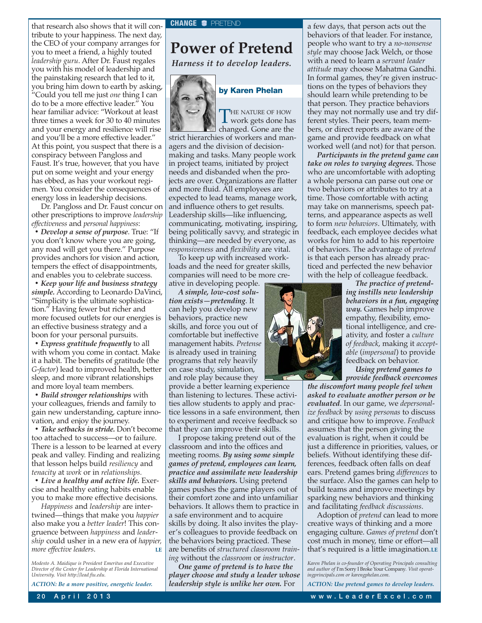<span id="page-20-0"></span>that research also shows that it will contribute to your happiness. The next day, the CEO of your company arranges for you to meet a friend, a highly touted *leadership guru*. After Dr. Faust regales you with his model of leadership and the painstaking research that led to it, you bring him down to earth by asking, "Could you tell me just *one* thing I can do to be a more effective leader." You hear familiar advice: "Workout at least three times a week for 30 to 40 minutes and your energy and resilience will rise and you'll be a more effective leader." At this point, you suspect that there is a conspiracy between Pangloss and Faust. It's true, however, that you have put on some weight and your energy has ebbed, as has your workout regimen. You consider the consequences of energy loss in leadership decisions.

Dr. Pangloss and Dr. Faust concur on other prescriptions to improve *leadership effectiveness* and *personal happiness*:

*• Develop a sense of purpose*. True: "If you don't know where you are going, any road will get you there." Purpose provides anchors for vision and action, tempers the effect of disappointments, and enables you to celebrate success.

*• Keep your life and business strategy simple.* According to Leonardo DaVinci, "Simplicity is the ultimate sophistication." Having fewer but richer and more focused outlets for our energies is an effective business strategy and a boon for your personal pursuits.

*• Express gratitude frequently* to all with whom you come in contact. Make it a habit. The benefits of gratitude (the *G-factor*) lead to improved health, better sleep, and more vibrant relationships and more loyal team members.

*• Build stronger relationships* with your colleagues, friends and family to gain new understanding, capture innovation, and enjoy the journey.

*• Take setbacks in stride.* Don't become too attached to success—or to failure. There is a lesson to be learned at every peak and valley. Finding and realizing that lesson helps build *resiliency* and *tenacity* at *work* or in *relationships.*

*• Live a healthy and active life.* Exercise and healthy eating habits enable you to make more effective decisions.

*Happiness* and *leadership* are intertwined—things that make you *happier* also make you a *better leader*! This congruence between *happiness* and *leadership* could usher in a new era of *happier, more effective leaders.* 

*Modesto A. Maidique is President Emeritus and Executive Director of the Center for Leadership at Florida International University. Visit [http://lead.fiu.edu.](http://lead.fiu.edu)*

*ACTION: Be a more positive, energetic leader.*

## **Power of Pretend**

*Harness it to develop leaders.*



## **by Karen Phelan**

THE NATURE OF HOW<br>work gets done has changed. Gone are the strict hierarchies of workers and managers and the division of decisionmaking and tasks. Many people work in project teams, initiated by project needs and disbanded when the projects are over. Organizations are flatter and more fluid. All employees are expected to lead teams, manage work, and influence others to get results. Leadership skills—like influencing,

communicating, motivating, inspiring, being politically savvy, and strategic in thinking—are needed by everyone, as *responsiveness* and *flexibility* are vital. To keep up with increased work-

loads and the need for greater skills, companies will need to be more creative in developing people.

*A simple, low-cost solution exists—pretending*. It can help you develop new behaviors, practice new skills, and force you out of comfortable but ineffective management habits. *Pretense* is already used in training programs that rely heavily on case study, simulation, and role play because they

provide a better learning experience than listening to lectures. These activities allow students to apply and practice lessons in a safe environment, then to experiment and receive feedback so that they can improve their skills.

I propose taking pretend out of the classroom and into the offices and meeting rooms. *By using some simple games of pretend, employees can learn, practice and assimilate new leadership skills and behaviors.* Using pretend games pushes the game players out of their comfort zone and into unfamiliar behaviors. It allows them to practice in a safe environment and to acquire skills by doing. It also invites the player's colleagues to provide feedback on the behaviors being practiced. These are benefits of *structured classroom training* without the *classroom* or *instructor*.

*One game of pretend is to have the player choose and study a leader whose leadership style is unlike her own.* For

a few days, that person acts out the behaviors of that leader. For instance, people who want to try a *no-nonsense style* may choose Jack Welch, or those with a need to learn a *servant leader attitude* may choose Mahatma Gandhi. In formal games, they're given instructions on the types of behaviors they should learn while pretending to be that person. They practice behaviors they may not normally use and try different styles. Their peers, team members, or direct reports are aware of the game and provide feedback on what worked well (and not) for that person.

*Participants in the pretend game can take on roles to varying degrees.* Those who are uncomfortable with adopting a whole persona can parse out one or two behaviors or attributes to try at a time. Those comfortable with acting may take on mannerisms, speech patterns, and appearance aspects as well to form *new behaviors*. Ultimately, with feedback, each employee decides what works for him to add to his repertoire of behaviors. The advantage of *pretend* is that each person has already practiced and perfected the new behavior with the help of colleague feedback.



*The practice of pretending instills new leadership behaviors in a fun, engaging way.* Games help improve empathy, flexibility, emotional intelligence, and creativity, and foster a *culture of feedback*, making it *acceptable* (*impersonal*) to provide feedback on behavior.

*Using pretend games to provide feedback overcomes*

*the discomfort many people feel when asked to evaluate another person or be evaluated*. In our game, we *depersonalize feedback* by *using personas* to discuss and critique how to improve. *Feedback* assumes that the person giving the evaluation is right, when it could be just a difference in priorities, values, or beliefs. Without identifying these differences, feedback often falls on deaf ears. Pretend games bring *differences* to the surface. Also the games can help to build teams and improve meetings by sparking new behaviors and thinking and facilitating *feedback discussions*.

Adoption of *pretend* can lead to more creative ways of thinking and a more engaging culture. *Games of pretend* don't cost much in money, time or effort—all that's required is a little imagination.**LE**

*Karen Phelan is co-founder of Operating Principals consulting and author of* I'm Sorry I Broke Your Company*. Visit operatingprincipals.com or karengphelan.com.*

*ACTION: Use pretend games to develop leaders.*